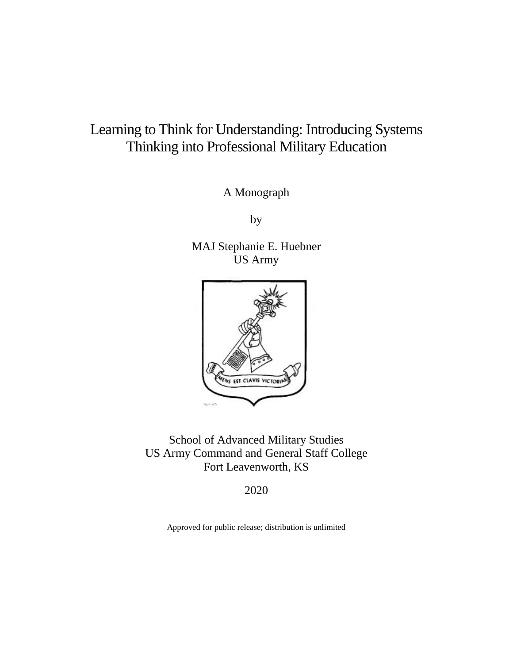# Learning to Think for Understanding: Introducing Systems Thinking into Professional Military Education

A Monograph

by

MAJ Stephanie E. Huebner US Army



School of Advanced Military Studies US Army Command and General Staff College Fort Leavenworth, KS

2020

Approved for public release; distribution is unlimited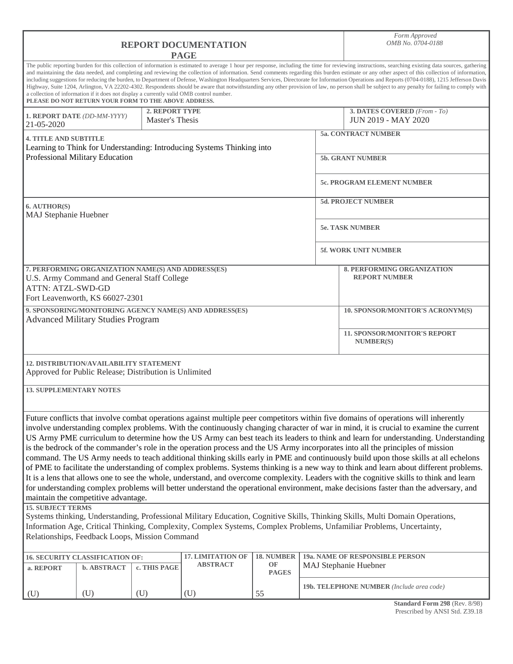| <b>REPORT DOCUMENTATION</b><br><b>PAGE</b>                                                                                                                       |                    |                                          |                                             |                            | Form Approved<br>OMB No. 0704-0188 |                                                                                                                                                                                                                                                                                                                                                                                                                                                                                                                                                                                                                                                                                                                                                                                                                                                                                                                                                                                                                                                                                                                             |  |
|------------------------------------------------------------------------------------------------------------------------------------------------------------------|--------------------|------------------------------------------|---------------------------------------------|----------------------------|------------------------------------|-----------------------------------------------------------------------------------------------------------------------------------------------------------------------------------------------------------------------------------------------------------------------------------------------------------------------------------------------------------------------------------------------------------------------------------------------------------------------------------------------------------------------------------------------------------------------------------------------------------------------------------------------------------------------------------------------------------------------------------------------------------------------------------------------------------------------------------------------------------------------------------------------------------------------------------------------------------------------------------------------------------------------------------------------------------------------------------------------------------------------------|--|
| a collection of information if it does not display a currently valid OMB control number.<br>PLEASE DO NOT RETURN YOUR FORM TO THE ABOVE ADDRESS.                 |                    |                                          |                                             |                            |                                    | The public reporting burden for this collection of information is estimated to average 1 hour per response, including the time for reviewing instructions, searching existing data sources, gathering<br>and maintaining the data needed, and completing and reviewing the collection of information. Send comments regarding this burden estimate or any other aspect of this collection of information,<br>including suggestions for reducing the burden, to Department of Defense, Washington Headquarters Services, Directorate for Information Operations and Reports (0704-0188), 1215 Jefferson Davis<br>Highway, Suite 1204, Arlington, VA 22202-4302. Respondents should be aware that notwithstanding any other provision of law, no person shall be subject to any penalty for failing to comply with                                                                                                                                                                                                                                                                                                            |  |
| 1. REPORT DATE (DD-MM-YYYY)<br>21-05-2020                                                                                                                        |                    | <b>2. REPORT TYPE</b><br>Master's Thesis |                                             |                            |                                    | 3. DATES COVERED (From - To)<br><b>JUN 2019 - MAY 2020</b>                                                                                                                                                                                                                                                                                                                                                                                                                                                                                                                                                                                                                                                                                                                                                                                                                                                                                                                                                                                                                                                                  |  |
| <b>4. TITLE AND SUBTITLE</b>                                                                                                                                     |                    |                                          |                                             | <b>5a. CONTRACT NUMBER</b> |                                    |                                                                                                                                                                                                                                                                                                                                                                                                                                                                                                                                                                                                                                                                                                                                                                                                                                                                                                                                                                                                                                                                                                                             |  |
| Learning to Think for Understanding: Introducing Systems Thinking into<br>Professional Military Education<br><b>5b. GRANT NUMBER</b>                             |                    |                                          |                                             |                            |                                    |                                                                                                                                                                                                                                                                                                                                                                                                                                                                                                                                                                                                                                                                                                                                                                                                                                                                                                                                                                                                                                                                                                                             |  |
|                                                                                                                                                                  |                    |                                          |                                             |                            |                                    | <b>5c. PROGRAM ELEMENT NUMBER</b>                                                                                                                                                                                                                                                                                                                                                                                                                                                                                                                                                                                                                                                                                                                                                                                                                                                                                                                                                                                                                                                                                           |  |
| 6. AUTHOR(S)<br>MAJ Stephanie Huebner                                                                                                                            |                    |                                          | <b>5d. PROJECT NUMBER</b>                   |                            |                                    |                                                                                                                                                                                                                                                                                                                                                                                                                                                                                                                                                                                                                                                                                                                                                                                                                                                                                                                                                                                                                                                                                                                             |  |
|                                                                                                                                                                  |                    |                                          |                                             |                            |                                    | <b>5e. TASK NUMBER</b>                                                                                                                                                                                                                                                                                                                                                                                                                                                                                                                                                                                                                                                                                                                                                                                                                                                                                                                                                                                                                                                                                                      |  |
|                                                                                                                                                                  |                    |                                          |                                             |                            |                                    | <b>5f. WORK UNIT NUMBER</b>                                                                                                                                                                                                                                                                                                                                                                                                                                                                                                                                                                                                                                                                                                                                                                                                                                                                                                                                                                                                                                                                                                 |  |
| 7. PERFORMING ORGANIZATION NAME(S) AND ADDRESS(ES)<br>U.S. Army Command and General Staff College<br><b>ATTN: ATZL-SWD-GD</b><br>Fort Leavenworth, KS 66027-2301 |                    |                                          |                                             |                            |                                    | <b>8. PERFORMING ORGANIZATION</b><br><b>REPORT NUMBER</b>                                                                                                                                                                                                                                                                                                                                                                                                                                                                                                                                                                                                                                                                                                                                                                                                                                                                                                                                                                                                                                                                   |  |
| 9. SPONSORING/MONITORING AGENCY NAME(S) AND ADDRESS(ES)<br><b>Advanced Military Studies Program</b>                                                              |                    |                                          |                                             |                            |                                    | 10. SPONSOR/MONITOR'S ACRONYM(S)                                                                                                                                                                                                                                                                                                                                                                                                                                                                                                                                                                                                                                                                                                                                                                                                                                                                                                                                                                                                                                                                                            |  |
|                                                                                                                                                                  |                    |                                          |                                             |                            |                                    | <b>11. SPONSOR/MONITOR'S REPORT</b><br><b>NUMBER(S)</b>                                                                                                                                                                                                                                                                                                                                                                                                                                                                                                                                                                                                                                                                                                                                                                                                                                                                                                                                                                                                                                                                     |  |
| <b>12. DISTRIBUTION/AVAILABILITY STATEMENT</b><br>Approved for Public Release; Distribution is Unlimited                                                         |                    |                                          |                                             |                            |                                    |                                                                                                                                                                                                                                                                                                                                                                                                                                                                                                                                                                                                                                                                                                                                                                                                                                                                                                                                                                                                                                                                                                                             |  |
| <b>13. SUPPLEMENTARY NOTES</b>                                                                                                                                   |                    |                                          |                                             |                            |                                    |                                                                                                                                                                                                                                                                                                                                                                                                                                                                                                                                                                                                                                                                                                                                                                                                                                                                                                                                                                                                                                                                                                                             |  |
| maintain the competitive advantage.                                                                                                                              |                    |                                          |                                             |                            |                                    | Future conflicts that involve combat operations against multiple peer competitors within five domains of operations will inherently<br>involve understanding complex problems. With the continuously changing character of war in mind, it is crucial to examine the current<br>US Army PME curriculum to determine how the US Army can best teach its leaders to think and learn for understanding. Understanding<br>is the bedrock of the commander's role in the operation process and the US Army incorporates into all the principles of mission<br>command. The US Army needs to teach additional thinking skills early in PME and continuously build upon those skills at all echelons<br>of PME to facilitate the understanding of complex problems. Systems thinking is a new way to think and learn about different problems.<br>It is a lens that allows one to see the whole, understand, and overcome complexity. Leaders with the cognitive skills to think and learn<br>for understanding complex problems will better understand the operational environment, make decisions faster than the adversary, and |  |
| <b>15. SUBJECT TERMS</b><br>Relationships, Feedback Loops, Mission Command                                                                                       |                    |                                          |                                             |                            |                                    | Systems thinking, Understanding, Professional Military Education, Cognitive Skills, Thinking Skills, Multi Domain Operations,<br>Information Age, Critical Thinking, Complexity, Complex Systems, Complex Problems, Unfamiliar Problems, Uncertainty,                                                                                                                                                                                                                                                                                                                                                                                                                                                                                                                                                                                                                                                                                                                                                                                                                                                                       |  |
| <b>16. SECURITY CLASSIFICATION OF:</b><br>a. REPORT                                                                                                              | <b>b. ABSTRACT</b> | c. THIS PAGE                             | <b>17. LIMITATION OF</b><br><b>ABSTRACT</b> | 18. NUMBER<br>OF           |                                    | 19a. NAME OF RESPONSIBLE PERSON<br>MAJ Stephanie Huebner                                                                                                                                                                                                                                                                                                                                                                                                                                                                                                                                                                                                                                                                                                                                                                                                                                                                                                                                                                                                                                                                    |  |
|                                                                                                                                                                  | (U)                | (U)                                      | (U)                                         | <b>PAGES</b><br>55         |                                    | 19b. TELEPHONE NUMBER (Include area code)                                                                                                                                                                                                                                                                                                                                                                                                                                                                                                                                                                                                                                                                                                                                                                                                                                                                                                                                                                                                                                                                                   |  |
| (U)                                                                                                                                                              |                    |                                          |                                             |                            |                                    | Standard Form 298 (Rev. 8/98)                                                                                                                                                                                                                                                                                                                                                                                                                                                                                                                                                                                                                                                                                                                                                                                                                                                                                                                                                                                                                                                                                               |  |

**Standard Form 298** (Rev. 8/98) Prescribed by ANSI Std. Z39.18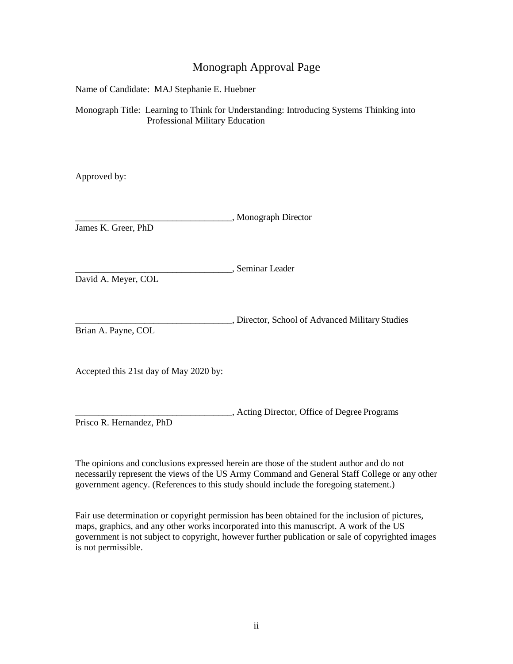### Monograph Approval Page

Name of Candidate: MAJ Stephanie E. Huebner

Monograph Title: Learning to Think for Understanding: Introducing Systems Thinking into Professional Military Education

Approved by:

\_\_\_\_\_\_\_\_\_\_\_\_\_\_\_\_\_\_\_\_\_\_\_\_\_\_\_\_\_\_\_\_\_\_, Monograph Director James K. Greer, PhD \_\_\_\_\_\_\_\_\_\_\_\_\_\_\_\_\_\_\_\_\_\_\_\_\_\_\_\_\_\_\_\_\_\_, Seminar Leader David A. Meyer, COL \_\_\_\_\_\_\_\_\_\_\_\_\_\_\_\_\_\_\_\_\_\_\_\_\_\_\_\_\_\_\_\_\_\_, Director, School of Advanced Military Studies Brian A. Payne, COL Accepted this 21st day of May 2020 by:

\_\_\_\_\_\_\_\_\_\_\_\_\_\_\_\_\_\_\_\_\_\_\_\_\_\_\_\_\_\_\_\_\_\_, Acting Director, Office of Degree Programs Prisco R. Hernandez, PhD

The opinions and conclusions expressed herein are those of the student author and do not necessarily represent the views of the US Army Command and General Staff College or any other government agency. (References to this study should include the foregoing statement.)

Fair use determination or copyright permission has been obtained for the inclusion of pictures, maps, graphics, and any other works incorporated into this manuscript. A work of the US government is not subject to copyright, however further publication or sale of copyrighted images is not permissible.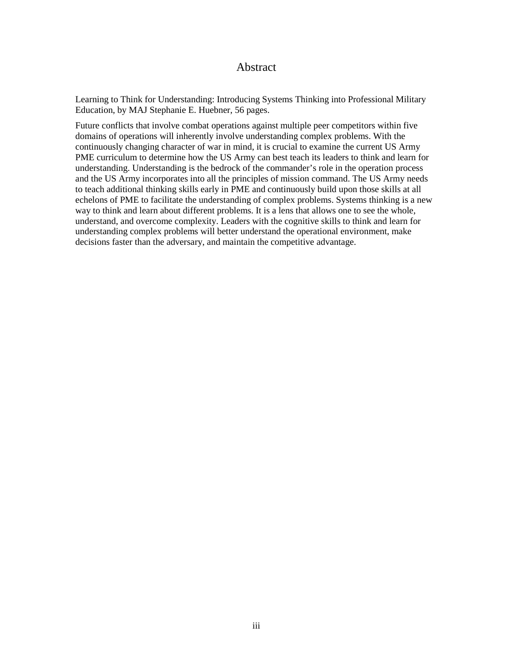#### Abstract

Learning to Think for Understanding: Introducing Systems Thinking into Professional Military Education, by MAJ Stephanie E. Huebner, 56 pages.

Future conflicts that involve combat operations against multiple peer competitors within five domains of operations will inherently involve understanding complex problems. With the continuously changing character of war in mind, it is crucial to examine the current US Army PME curriculum to determine how the US Army can best teach its leaders to think and learn for understanding. Understanding is the bedrock of the commander's role in the operation process and the US Army incorporates into all the principles of mission command. The US Army needs to teach additional thinking skills early in PME and continuously build upon those skills at all echelons of PME to facilitate the understanding of complex problems. Systems thinking is a new way to think and learn about different problems. It is a lens that allows one to see the whole, understand, and overcome complexity. Leaders with the cognitive skills to think and learn for understanding complex problems will better understand the operational environment, make decisions faster than the adversary, and maintain the competitive advantage.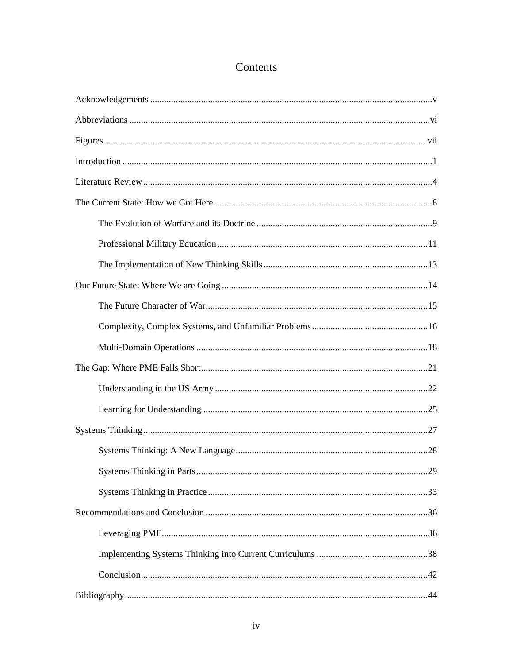# Contents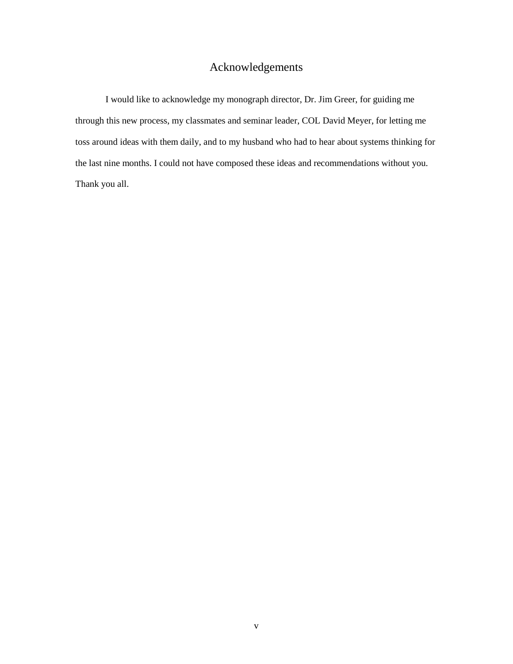## Acknowledgements

<span id="page-5-0"></span>I would like to acknowledge my monograph director, Dr. Jim Greer, for guiding me through this new process, my classmates and seminar leader, COL David Meyer, for letting me toss around ideas with them daily, and to my husband who had to hear about systems thinking for the last nine months. I could not have composed these ideas and recommendations without you. Thank you all.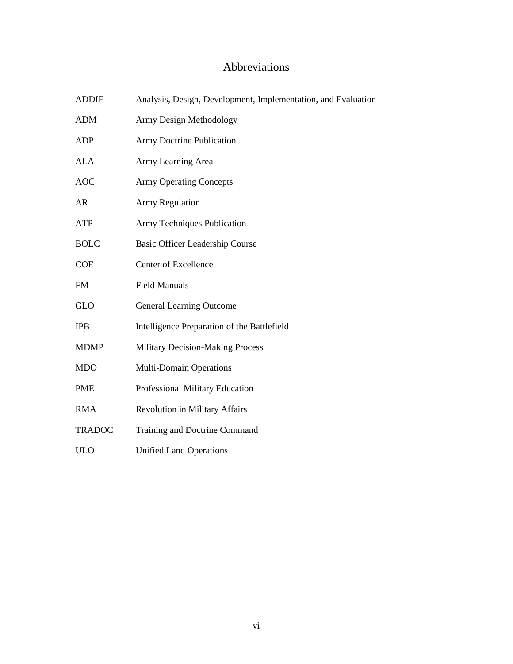# Abbreviations

<span id="page-6-0"></span>

| <b>ADDIE</b>  | Analysis, Design, Development, Implementation, and Evaluation |
|---------------|---------------------------------------------------------------|
| <b>ADM</b>    | Army Design Methodology                                       |
| <b>ADP</b>    | <b>Army Doctrine Publication</b>                              |
| <b>ALA</b>    | Army Learning Area                                            |
| <b>AOC</b>    | <b>Army Operating Concepts</b>                                |
| AR            | <b>Army Regulation</b>                                        |
| <b>ATP</b>    | Army Techniques Publication                                   |
| <b>BOLC</b>   | <b>Basic Officer Leadership Course</b>                        |
| <b>COE</b>    | Center of Excellence                                          |
| <b>FM</b>     | <b>Field Manuals</b>                                          |
| <b>GLO</b>    | <b>General Learning Outcome</b>                               |
| <b>IPB</b>    | Intelligence Preparation of the Battlefield                   |
| <b>MDMP</b>   | <b>Military Decision-Making Process</b>                       |
| <b>MDO</b>    | <b>Multi-Domain Operations</b>                                |
| <b>PME</b>    | Professional Military Education                               |
| <b>RMA</b>    | <b>Revolution in Military Affairs</b>                         |
| <b>TRADOC</b> | Training and Doctrine Command                                 |
| <b>ULO</b>    | <b>Unified Land Operations</b>                                |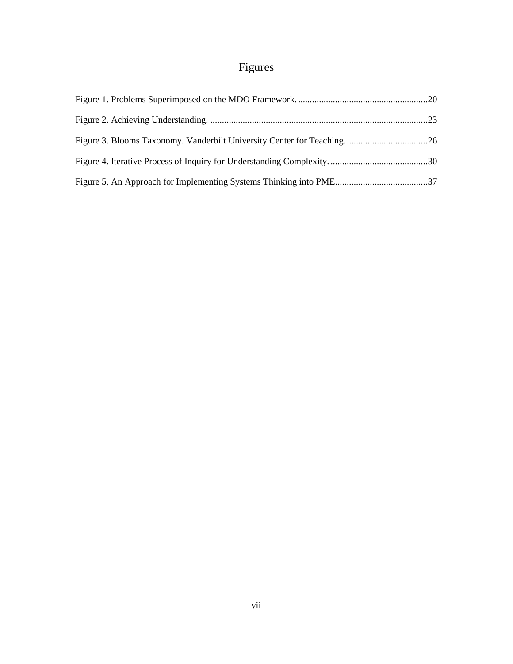# Figures

<span id="page-7-0"></span>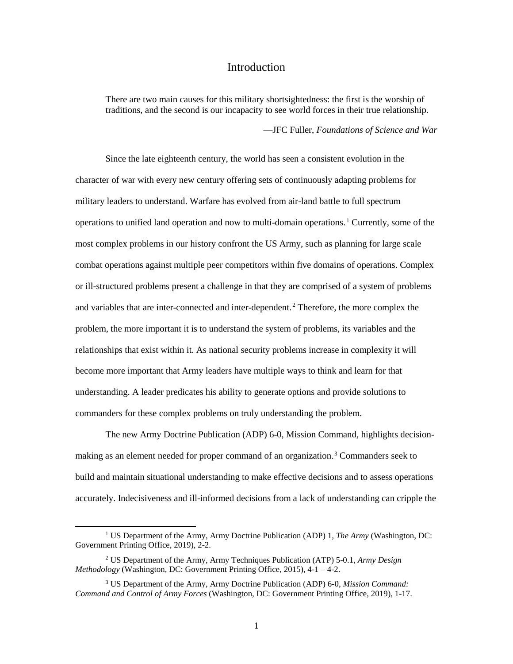#### Introduction

<span id="page-8-0"></span>There are two main causes for this military shortsightedness: the first is the worship of traditions, and the second is our incapacity to see world forces in their true relationship.

—JFC Fuller, *Foundations of Science and War*

Since the late eighteenth century, the world has seen a consistent evolution in the character of war with every new century offering sets of continuously adapting problems for military leaders to understand. Warfare has evolved from air-land battle to full spectrum operations to unified land operation and now to multi-domain operations.<sup>1</sup> Currently, some of the most complex problems in our history confront the US Army, such as planning for large scale combat operations against multiple peer competitors within five domains of operations. Complex or ill-structured problems present a challenge in that they are comprised of a system of problems and variables that are inter-connected and inter-dependent.<sup>2</sup> Therefore, the more complex the problem, the more important it is to understand the system of problems, its variables and the relationships that exist within it. As national security problems increase in complexity it will become more important that Army leaders have multiple ways to think and learn for that understanding. A leader predicates his ability to generate options and provide solutions to commanders for these complex problems on truly understanding the problem.

The new Army Doctrine Publication (ADP) 6-0, Mission Command, highlights decisionmaking as an element needed for proper command of an organization.<sup>3</sup> Commanders seek to build and maintain situational understanding to make effective decisions and to assess operations accurately. Indecisiveness and ill-informed decisions from a lack of understanding can cripple the

 <sup>1</sup> US Department of the Army, Army Doctrine Publication (ADP) 1, *The Army* (Washington, DC: Government Printing Office, 2019), 2-2.

<sup>2</sup> US Department of the Army, Army Techniques Publication (ATP) 5-0.1, *Army Design Methodology* (Washington, DC: Government Printing Office, 2015), 4-1 – 4-2.

<sup>3</sup> US Department of the Army, Army Doctrine Publication (ADP) 6-0, *Mission Command: Command and Control of Army Forces* (Washington, DC: Government Printing Office, 2019), 1-17.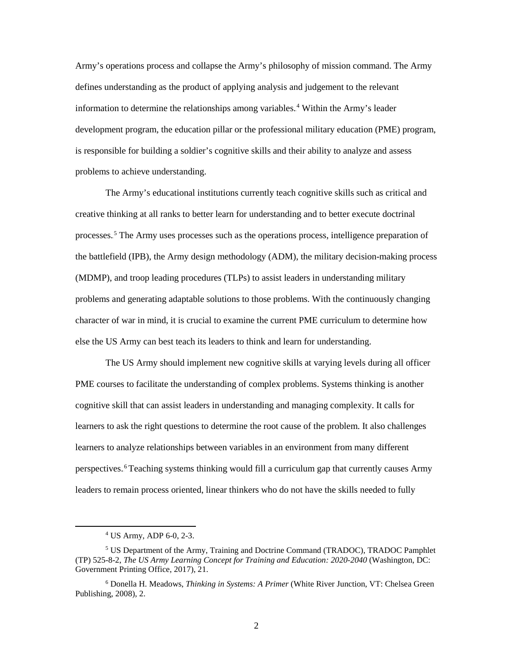Army's operations process and collapse the Army's philosophy of mission command. The Army defines understanding as the product of applying analysis and judgement to the relevant information to determine the relationships among variables.<sup>4</sup> Within the Army's leader development program, the education pillar or the professional military education (PME) program, is responsible for building a soldier's cognitive skills and their ability to analyze and assess problems to achieve understanding.

The Army's educational institutions currently teach cognitive skills such as critical and creative thinking at all ranks to better learn for understanding and to better execute doctrinal processes.<sup>5</sup> The Army uses processes such as the operations process, intelligence preparation of the battlefield (IPB), the Army design methodology (ADM), the military decision-making process (MDMP), and troop leading procedures (TLPs) to assist leaders in understanding military problems and generating adaptable solutions to those problems. With the continuously changing character of war in mind, it is crucial to examine the current PME curriculum to determine how else the US Army can best teach its leaders to think and learn for understanding.

The US Army should implement new cognitive skills at varying levels during all officer PME courses to facilitate the understanding of complex problems. Systems thinking is another cognitive skill that can assist leaders in understanding and managing complexity. It calls for learners to ask the right questions to determine the root cause of the problem. It also challenges learners to analyze relationships between variables in an environment from many different perspectives.<sup>6</sup>Teaching systems thinking would fill a curriculum gap that currently causes Army leaders to remain process oriented, linear thinkers who do not have the skills needed to fully

 <sup>4</sup> US Army, ADP 6-0, 2-3.

<sup>5</sup> US Department of the Army, Training and Doctrine Command (TRADOC), TRADOC Pamphlet (TP) 525-8-2, *The US Army Learning Concept for Training and Education: 2020-2040* (Washington, DC: Government Printing Office, 2017), 21.

<sup>6</sup> Donella H. Meadows, *Thinking in Systems: A Primer* (White River Junction, VT: Chelsea Green Publishing, 2008), 2.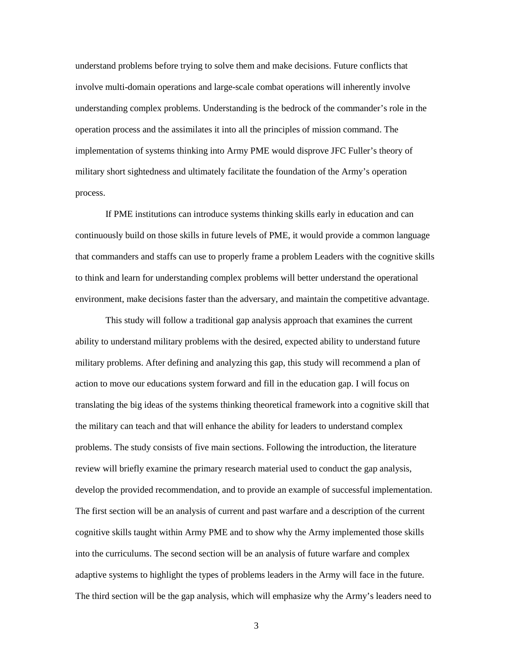understand problems before trying to solve them and make decisions. Future conflicts that involve multi-domain operations and large-scale combat operations will inherently involve understanding complex problems. Understanding is the bedrock of the commander's role in the operation process and the assimilates it into all the principles of mission command. The implementation of systems thinking into Army PME would disprove JFC Fuller's theory of military short sightedness and ultimately facilitate the foundation of the Army's operation process.

If PME institutions can introduce systems thinking skills early in education and can continuously build on those skills in future levels of PME, it would provide a common language that commanders and staffs can use to properly frame a problem Leaders with the cognitive skills to think and learn for understanding complex problems will better understand the operational environment, make decisions faster than the adversary, and maintain the competitive advantage.

This study will follow a traditional gap analysis approach that examines the current ability to understand military problems with the desired, expected ability to understand future military problems. After defining and analyzing this gap, this study will recommend a plan of action to move our educations system forward and fill in the education gap. I will focus on translating the big ideas of the systems thinking theoretical framework into a cognitive skill that the military can teach and that will enhance the ability for leaders to understand complex problems. The study consists of five main sections. Following the introduction, the literature review will briefly examine the primary research material used to conduct the gap analysis, develop the provided recommendation, and to provide an example of successful implementation. The first section will be an analysis of current and past warfare and a description of the current cognitive skills taught within Army PME and to show why the Army implemented those skills into the curriculums. The second section will be an analysis of future warfare and complex adaptive systems to highlight the types of problems leaders in the Army will face in the future. The third section will be the gap analysis, which will emphasize why the Army's leaders need to

3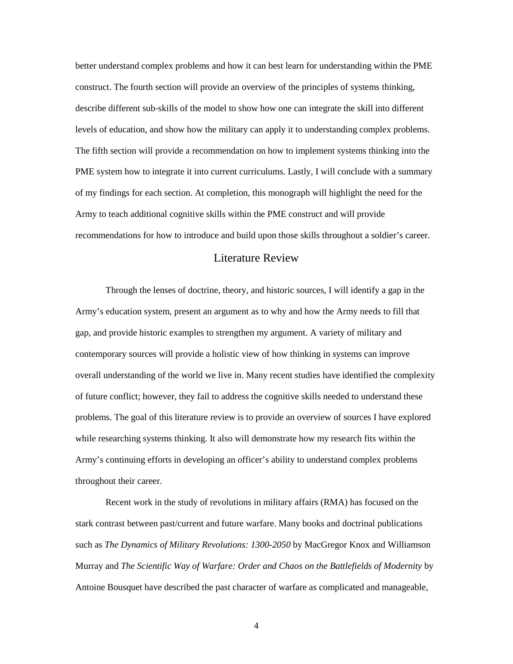better understand complex problems and how it can best learn for understanding within the PME construct. The fourth section will provide an overview of the principles of systems thinking, describe different sub-skills of the model to show how one can integrate the skill into different levels of education, and show how the military can apply it to understanding complex problems. The fifth section will provide a recommendation on how to implement systems thinking into the PME system how to integrate it into current curriculums. Lastly, I will conclude with a summary of my findings for each section. At completion, this monograph will highlight the need for the Army to teach additional cognitive skills within the PME construct and will provide recommendations for how to introduce and build upon those skills throughout a soldier's career.

#### Literature Review

<span id="page-11-0"></span>Through the lenses of doctrine, theory, and historic sources, I will identify a gap in the Army's education system, present an argument as to why and how the Army needs to fill that gap, and provide historic examples to strengthen my argument. A variety of military and contemporary sources will provide a holistic view of how thinking in systems can improve overall understanding of the world we live in. Many recent studies have identified the complexity of future conflict; however, they fail to address the cognitive skills needed to understand these problems. The goal of this literature review is to provide an overview of sources I have explored while researching systems thinking. It also will demonstrate how my research fits within the Army's continuing efforts in developing an officer's ability to understand complex problems throughout their career.

Recent work in the study of revolutions in military affairs (RMA) has focused on the stark contrast between past/current and future warfare. Many books and doctrinal publications such as *The Dynamics of Military Revolutions: 1300-2050* by MacGregor Knox and Williamson Murray and *The Scientific Way of Warfare: Order and Chaos on the Battlefields of Modernity* by Antoine Bousquet have described the past character of warfare as complicated and manageable,

4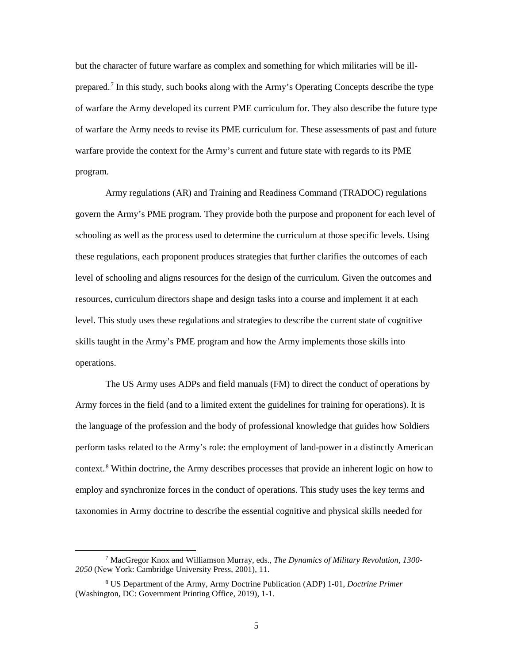but the character of future warfare as complex and something for which militaries will be illprepared.<sup>7</sup> In this study, such books along with the Army's Operating Concepts describe the type of warfare the Army developed its current PME curriculum for. They also describe the future type of warfare the Army needs to revise its PME curriculum for. These assessments of past and future warfare provide the context for the Army's current and future state with regards to its PME program.

Army regulations (AR) and Training and Readiness Command (TRADOC) regulations govern the Army's PME program. They provide both the purpose and proponent for each level of schooling as well as the process used to determine the curriculum at those specific levels. Using these regulations, each proponent produces strategies that further clarifies the outcomes of each level of schooling and aligns resources for the design of the curriculum. Given the outcomes and resources, curriculum directors shape and design tasks into a course and implement it at each level. This study uses these regulations and strategies to describe the current state of cognitive skills taught in the Army's PME program and how the Army implements those skills into operations.

The US Army uses ADPs and field manuals (FM) to direct the conduct of operations by Army forces in the field (and to a limited extent the guidelines for training for operations). It is the language of the profession and the body of professional knowledge that guides how Soldiers perform tasks related to the Army's role: the employment of land-power in a distinctly American context.<sup>8</sup> Within doctrine, the Army describes processes that provide an inherent logic on how to employ and synchronize forces in the conduct of operations. This study uses the key terms and taxonomies in Army doctrine to describe the essential cognitive and physical skills needed for

 <sup>7</sup> MacGregor Knox and Williamson Murray, eds., *The Dynamics of Military Revolution, 1300- 2050* (New York: Cambridge University Press, 2001), 11.

<sup>8</sup> US Department of the Army, Army Doctrine Publication (ADP) 1-01, *Doctrine Primer* (Washington, DC: Government Printing Office, 2019), 1-1.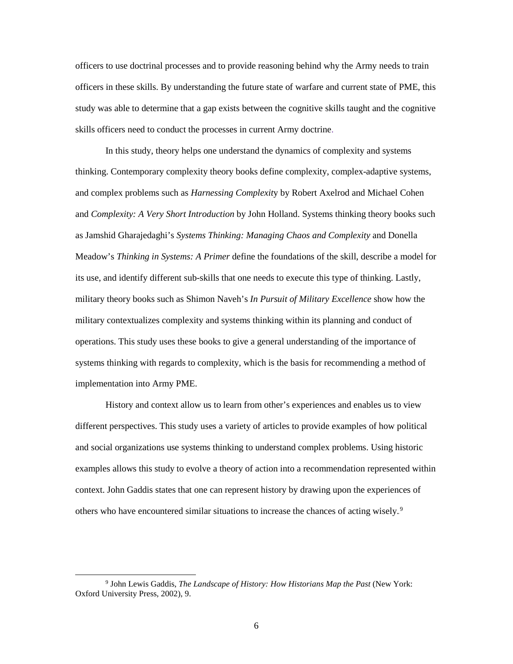officers to use doctrinal processes and to provide reasoning behind why the Army needs to train officers in these skills. By understanding the future state of warfare and current state of PME, this study was able to determine that a gap exists between the cognitive skills taught and the cognitive skills officers need to conduct the processes in current Army doctrine.

In this study, theory helps one understand the dynamics of complexity and systems thinking. Contemporary complexity theory books define complexity, complex-adaptive systems, and complex problems such as *Harnessing Complexit*y by Robert Axelrod and Michael Cohen and *Complexity: A Very Short Introduction* by John Holland. Systems thinking theory books such as Jamshid Gharajedaghi's *Systems Thinking: Managing Chaos and Complexity* and Donella Meadow's *Thinking in Systems: A Primer* define the foundations of the skill, describe a model for its use, and identify different sub-skills that one needs to execute this type of thinking. Lastly, military theory books such as Shimon Naveh's *In Pursuit of Military Excellence* show how the military contextualizes complexity and systems thinking within its planning and conduct of operations. This study uses these books to give a general understanding of the importance of systems thinking with regards to complexity, which is the basis for recommending a method of implementation into Army PME.

History and context allow us to learn from other's experiences and enables us to view different perspectives. This study uses a variety of articles to provide examples of how political and social organizations use systems thinking to understand complex problems. Using historic examples allows this study to evolve a theory of action into a recommendation represented within context. John Gaddis states that one can represent history by drawing upon the experiences of others who have encountered similar situations to increase the chances of acting wisely.<sup>9</sup>

 <sup>9</sup> John Lewis Gaddis, *The Landscape of History: How Historians Map the Past* (New York: Oxford University Press, 2002), 9.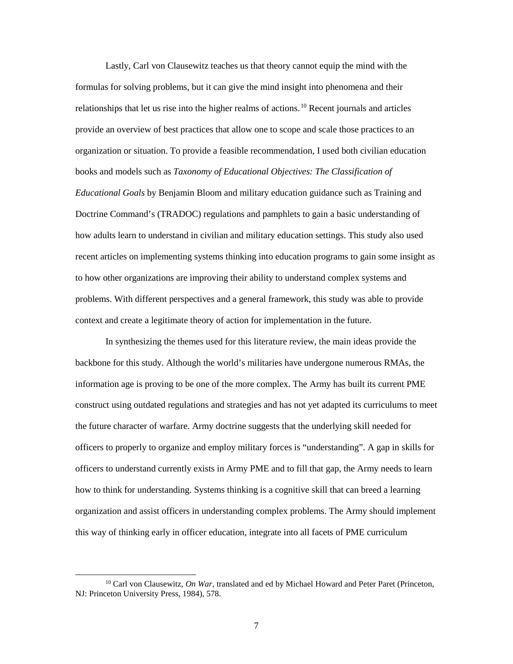Lastly, Carl von Clausewitz teaches us that theory cannot equip the mind with the formulas for solving problems, but it can give the mind insight into phenomena and their relationships that let us rise into the higher realms of actions.<sup>10</sup> Recent journals and articles provide an overview of best practices that allow one to scope and scale those practices to an organization or situation. To provide a feasible recommendation, I used both civilian education books and models such as *Taxonomy of Educational Objectives: The Classification of Educational Goals* by Benjamin Bloom and military education guidance such as Training and Doctrine Command's (TRADOC) regulations and pamphlets to gain a basic understanding of how adults learn to understand in civilian and military education settings. This study also used recent articles on implementing systems thinking into education programs to gain some insight as to how other organizations are improving their ability to understand complex systems and problems. With different perspectives and a general framework, this study was able to provide context and create a legitimate theory of action for implementation in the future.

In synthesizing the themes used for this literature review, the main ideas provide the backbone for this study. Although the world's militaries have undergone numerous RMAs, the information age is proving to be one of the more complex. The Army has built its current PME construct using outdated regulations and strategies and has not yet adapted its curriculums to meet the future character of warfare. Army doctrine suggests that the underlying skill needed for officers to properly to organize and employ military forces is "understanding". A gap in skills for officers to understand currently exists in Army PME and to fill that gap, the Army needs to learn how to think for understanding. Systems thinking is a cognitive skill that can breed a learning organization and assist officers in understanding complex problems. The Army should implement this way of thinking early in officer education, integrate into all facets of PME curriculum

 <sup>10</sup> Carl von Clausewitz, *On War*, translated and ed by Michael Howard and Peter Paret (Princeton, NJ: Princeton University Press, 1984), 578.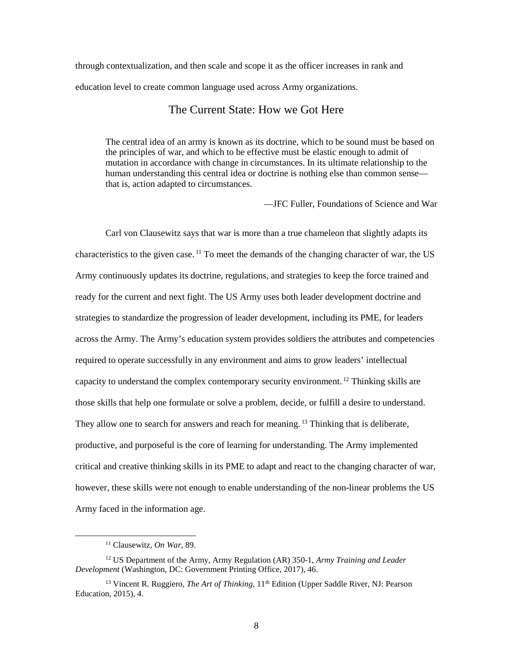<span id="page-15-0"></span>through contextualization, and then scale and scope it as the officer increases in rank and education level to create common language used across Army organizations.

#### The Current State: How we Got Here

The central idea of an army is known as its doctrine, which to be sound must be based on the principles of war, and which to be effective must be elastic enough to admit of mutation in accordance with change in circumstances. In its ultimate relationship to the human understanding this central idea or doctrine is nothing else than common sense that is, action adapted to circumstances.

—JFC Fuller, Foundations of Science and War

Carl von Clausewitz says that war is more than a true chameleon that slightly adapts its characteristics to the given case.<sup>11</sup> To meet the demands of the changing character of war, the US Army continuously updates its doctrine, regulations, and strategies to keep the force trained and ready for the current and next fight. The US Army uses both leader development doctrine and strategies to standardize the progression of leader development, including its PME, for leaders across the Army. The Army's education system provides soldiers the attributes and competencies required to operate successfully in any environment and aims to grow leaders' intellectual capacity to understand the complex contemporary security environment.<sup>12</sup> Thinking skills are those skills that help one formulate or solve a problem, decide, or fulfill a desire to understand. They allow one to search for answers and reach for meaning.<sup>13</sup> Thinking that is deliberate, productive, and purposeful is the core of learning for understanding. The Army implemented critical and creative thinking skills in its PME to adapt and react to the changing character of war, however, these skills were not enough to enable understanding of the non-linear problems the US Army faced in the information age.

 <sup>11</sup> Clausewitz, *On War*, 89.

<sup>12</sup> US Department of the Army, Army Regulation (AR) 350-1, *Army Training and Leader Development* (Washington, DC: Government Printing Office, 2017), 46.

<sup>&</sup>lt;sup>13</sup> Vincent R. Ruggiero, *The Art of Thinking*, 11<sup>th</sup> Edition (Upper Saddle River, NJ: Pearson Education, 2015), 4.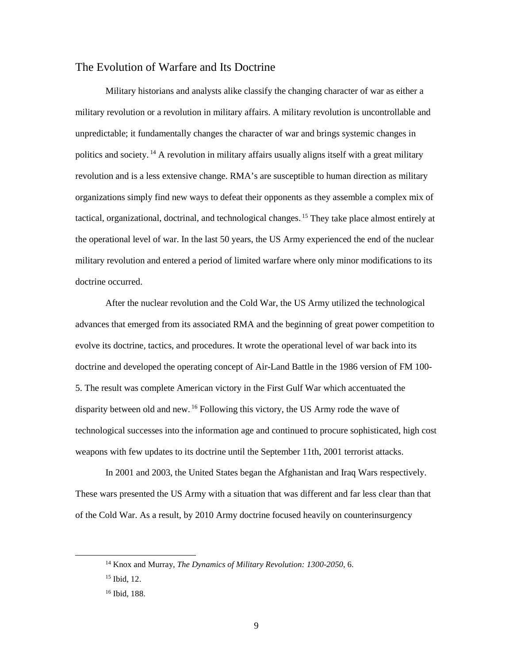#### <span id="page-16-0"></span>The Evolution of Warfare and Its Doctrine

Military historians and analysts alike classify the changing character of war as either a military revolution or a revolution in military affairs. A military revolution is uncontrollable and unpredictable; it fundamentally changes the character of war and brings systemic changes in politics and society.<sup>14</sup> A revolution in military affairs usually aligns itself with a great military revolution and is a less extensive change. RMA's are susceptible to human direction as military organizations simply find new ways to defeat their opponents as they assemble a complex mix of tactical, organizational, doctrinal, and technological changes.<sup>15</sup> They take place almost entirely at the operational level of war. In the last 50 years, the US Army experienced the end of the nuclear military revolution and entered a period of limited warfare where only minor modifications to its doctrine occurred.

After the nuclear revolution and the Cold War, the US Army utilized the technological advances that emerged from its associated RMA and the beginning of great power competition to evolve its doctrine, tactics, and procedures. It wrote the operational level of war back into its doctrine and developed the operating concept of Air-Land Battle in the 1986 version of FM 100- 5. The result was complete American victory in the First Gulf War which accentuated the disparity between old and new.<sup>16</sup> Following this victory, the US Army rode the wave of technological successes into the information age and continued to procure sophisticated, high cost weapons with few updates to its doctrine until the September 11th, 2001 terrorist attacks.

In 2001 and 2003, the United States began the Afghanistan and Iraq Wars respectively. These wars presented the US Army with a situation that was different and far less clear than that of the Cold War. As a result, by 2010 Army doctrine focused heavily on counterinsurgency

 <sup>14</sup> Knox and Murray, *The Dynamics of Military Revolution: 1300-2050*, 6.

<sup>15</sup> Ibid, 12.

<sup>16</sup> Ibid, 188.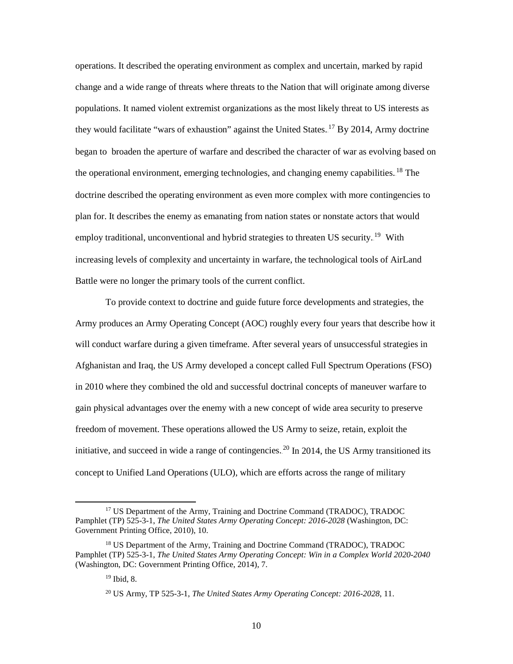operations. It described the operating environment as complex and uncertain, marked by rapid change and a wide range of threats where threats to the Nation that will originate among diverse populations. It named violent extremist organizations as the most likely threat to US interests as they would facilitate "wars of exhaustion" against the United States.<sup>17</sup> By 2014, Army doctrine began to broaden the aperture of warfare and described the character of war as evolving based on the operational environment, emerging technologies, and changing enemy capabilities. <sup>18</sup> The doctrine described the operating environment as even more complex with more contingencies to plan for. It describes the enemy as emanating from nation states or nonstate actors that would employ traditional, unconventional and hybrid strategies to threaten US security.<sup>19</sup> With increasing levels of complexity and uncertainty in warfare, the technological tools of AirLand Battle were no longer the primary tools of the current conflict.

To provide context to doctrine and guide future force developments and strategies, the Army produces an Army Operating Concept (AOC) roughly every four years that describe how it will conduct warfare during a given timeframe. After several years of unsuccessful strategies in Afghanistan and Iraq, the US Army developed a concept called Full Spectrum Operations (FSO) in 2010 where they combined the old and successful doctrinal concepts of maneuver warfare to gain physical advantages over the enemy with a new concept of wide area security to preserve freedom of movement. These operations allowed the US Army to seize, retain, exploit the initiative, and succeed in wide a range of contingencies.<sup>20</sup> In 2014, the US Army transitioned its concept to Unified Land Operations (ULO), which are efforts across the range of military

 <sup>17</sup> US Department of the Army, Training and Doctrine Command (TRADOC), TRADOC Pamphlet (TP) 525-3-1, *The United States Army Operating Concept: 2016-2028* (Washington, DC: Government Printing Office, 2010), 10.

<sup>&</sup>lt;sup>18</sup> US Department of the Army, Training and Doctrine Command (TRADOC), TRADOC Pamphlet (TP) 525-3-1, *The United States Army Operating Concept: Win in a Complex World 2020-2040* (Washington, DC: Government Printing Office, 2014), 7.

<sup>19</sup> Ibid, 8.

<sup>20</sup> US Army, TP 525-3-1, *The United States Army Operating Concept: 2016-2028*, 11.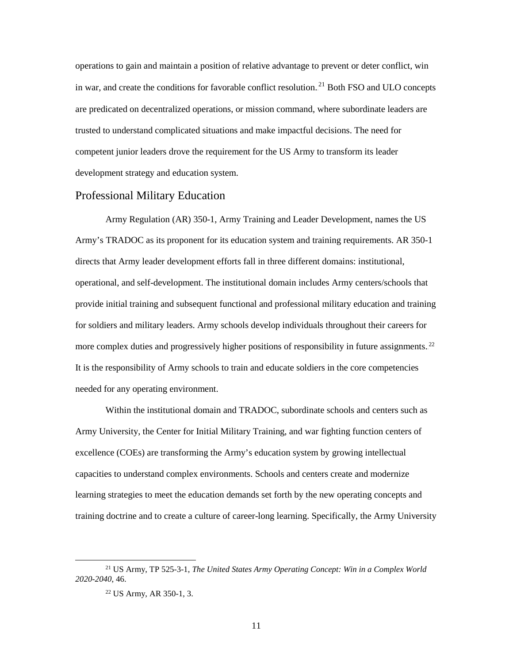operations to gain and maintain a position of relative advantage to prevent or deter conflict, win in war, and create the conditions for favorable conflict resolution.<sup>21</sup> Both FSO and ULO concepts are predicated on decentralized operations, or mission command, where subordinate leaders are trusted to understand complicated situations and make impactful decisions. The need for competent junior leaders drove the requirement for the US Army to transform its leader development strategy and education system.

#### <span id="page-18-0"></span>Professional Military Education

Army Regulation (AR) 350-1, Army Training and Leader Development, names the US Army's TRADOC as its proponent for its education system and training requirements. AR 350-1 directs that Army leader development efforts fall in three different domains: institutional, operational, and self-development. The institutional domain includes Army centers/schools that provide initial training and subsequent functional and professional military education and training for soldiers and military leaders. Army schools develop individuals throughout their careers for more complex duties and progressively higher positions of responsibility in future assignments.<sup>22</sup> It is the responsibility of Army schools to train and educate soldiers in the core competencies needed for any operating environment.

Within the institutional domain and TRADOC, subordinate schools and centers such as Army University, the Center for Initial Military Training, and war fighting function centers of excellence (COEs) are transforming the Army's education system by growing intellectual capacities to understand complex environments. Schools and centers create and modernize learning strategies to meet the education demands set forth by the new operating concepts and training doctrine and to create a culture of career-long learning. Specifically, the Army University

 <sup>21</sup> US Army, TP 525-3-1, *The United States Army Operating Concept: Win in a Complex World 2020-2040*, 46.

<sup>22</sup> US Army, AR 350-1, 3.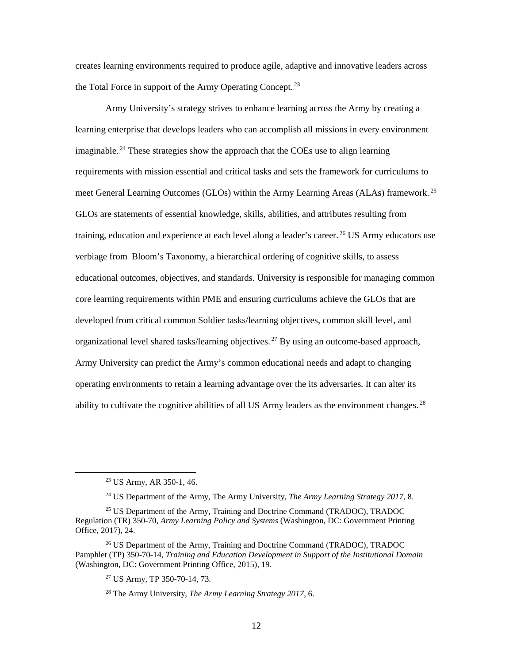creates learning environments required to produce agile, adaptive and innovative leaders across the Total Force in support of the Army Operating Concept.<sup>23</sup>

Army University's strategy strives to enhance learning across the Army by creating a learning enterprise that develops leaders who can accomplish all missions in every environment imaginable.<sup>24</sup> These strategies show the approach that the COEs use to align learning requirements with mission essential and critical tasks and sets the framework for curriculums to meet General Learning Outcomes (GLOs) within the Army Learning Areas (ALAs) framework.<sup>25</sup> GLOs are statements of essential knowledge, skills, abilities, and attributes resulting from training, education and experience at each level along a leader's career.<sup>26</sup> US Army educators use verbiage from Bloom's Taxonomy, a hierarchical ordering of cognitive skills, to assess educational outcomes, objectives, and standards. University is responsible for managing common core learning requirements within PME and ensuring curriculums achieve the GLOs that are developed from critical common Soldier tasks/learning objectives, common skill level, and organizational level shared tasks/learning objectives.<sup>27</sup> By using an outcome-based approach, Army University can predict the Army's common educational needs and adapt to changing operating environments to retain a learning advantage over the its adversaries. It can alter its ability to cultivate the cognitive abilities of all US Army leaders as the environment changes.<sup>28</sup>

<sup>27</sup> US Army, TP 350-70-14, 73.

<span id="page-19-0"></span> <sup>23</sup> US Army, AR 350-1, 46.

<sup>24</sup> US Department of the Army, The Army University, *The Army Learning Strategy 2017*, 8.

<sup>&</sup>lt;sup>25</sup> US Department of the Army, Training and Doctrine Command (TRADOC), TRADOC Regulation (TR) 350-70, *Army Learning Policy and Systems* (Washington, DC: Government Printing Office, 2017), 24.

<sup>&</sup>lt;sup>26</sup> US Department of the Army, Training and Doctrine Command (TRADOC), TRADOC Pamphlet (TP) 350-70-14, *Training and Education Development in Support of the Institutional Domain* (Washington, DC: Government Printing Office, 2015), 19.

<sup>28</sup> The Army University, *The Army Learning Strategy 2017*, 6.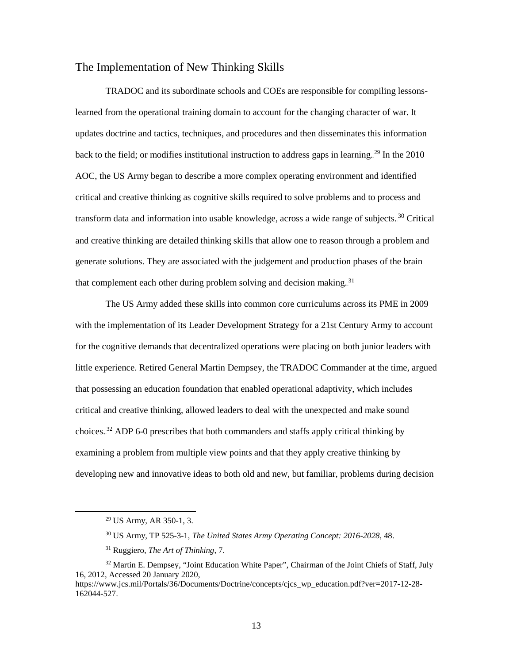#### The Implementation of New Thinking Skills

TRADOC and its subordinate schools and COEs are responsible for compiling lessonslearned from the operational training domain to account for the changing character of war. It updates doctrine and tactics, techniques, and procedures and then disseminates this information back to the field; or modifies institutional instruction to address gaps in learning.<sup>29</sup> In the 2010 AOC, the US Army began to describe a more complex operating environment and identified critical and creative thinking as cognitive skills required to solve problems and to process and transform data and information into usable knowledge, across a wide range of subjects.<sup>30</sup> Critical and creative thinking are detailed thinking skills that allow one to reason through a problem and generate solutions. They are associated with the judgement and production phases of the brain that complement each other during problem solving and decision making.<sup>31</sup>

The US Army added these skills into common core curriculums across its PME in 2009 with the implementation of its Leader Development Strategy for a 21st Century Army to account for the cognitive demands that decentralized operations were placing on both junior leaders with little experience. Retired General Martin Dempsey, the TRADOC Commander at the time, argued that possessing an education foundation that enabled operational adaptivity, which includes critical and creative thinking, allowed leaders to deal with the unexpected and make sound choices.<sup>32</sup> ADP 6-0 prescribes that both commanders and staffs apply critical thinking by examining a problem from multiple view points and that they apply creative thinking by developing new and innovative ideas to both old and new, but familiar, problems during decision

 <sup>29</sup> US Army, AR 350-1, 3.

<sup>30</sup> US Army, TP 525-3-1, *The United States Army Operating Concept: 2016-2028*, 48.

<sup>31</sup> Ruggiero, *The Art of Thinking,* 7.

<sup>&</sup>lt;sup>32</sup> Martin E. Dempsey, "Joint Education White Paper", Chairman of the Joint Chiefs of Staff, July 16, 2012, Accessed 20 January 2020,

https://www.jcs.mil/Portals/36/Documents/Doctrine/concepts/cics\_wp\_education.pdf?ver=2017-12-28-162044-527.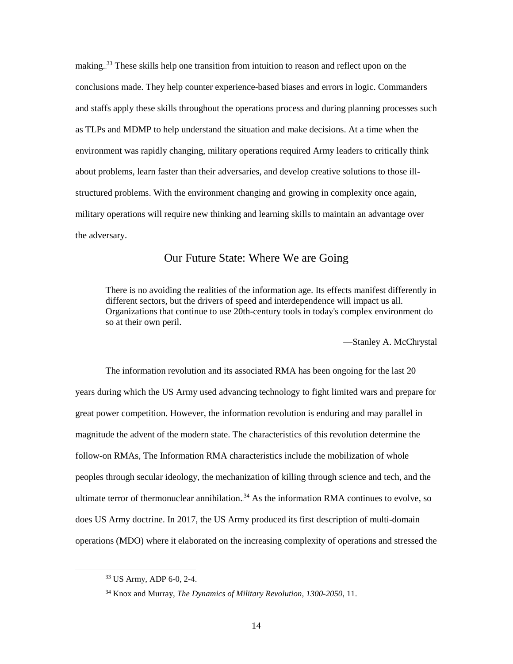making.<sup>33</sup> These skills help one transition from intuition to reason and reflect upon on the conclusions made. They help counter experience-based biases and errors in logic. Commanders and staffs apply these skills throughout the operations process and during planning processes such as TLPs and MDMP to help understand the situation and make decisions. At a time when the environment was rapidly changing, military operations required Army leaders to critically think about problems, learn faster than their adversaries, and develop creative solutions to those illstructured problems. With the environment changing and growing in complexity once again, military operations will require new thinking and learning skills to maintain an advantage over the adversary.

#### Our Future State: Where We are Going

<span id="page-21-0"></span>There is no avoiding the realities of the information age. Its effects manifest differently in different sectors, but the drivers of speed and interdependence will impact us all. Organizations that continue to use 20th-century tools in today's complex environment do so at their own peril.

—Stanley A. McChrystal

The information revolution and its associated RMA has been ongoing for the last 20 years during which the US Army used advancing technology to fight limited wars and prepare for great power competition. However, the information revolution is enduring and may parallel in magnitude the advent of the modern state. The characteristics of this revolution determine the follow-on RMAs, The Information RMA characteristics include the mobilization of whole peoples through secular ideology, the mechanization of killing through science and tech, and the ultimate terror of thermonuclear annihilation.<sup>34</sup> As the information RMA continues to evolve, so does US Army doctrine. In 2017, the US Army produced its first description of multi-domain operations (MDO) where it elaborated on the increasing complexity of operations and stressed the

 <sup>33</sup> US Army, ADP 6-0, 2-4.

<sup>34</sup> Knox and Murray, *The Dynamics of Military Revolution, 1300-2050*, 11.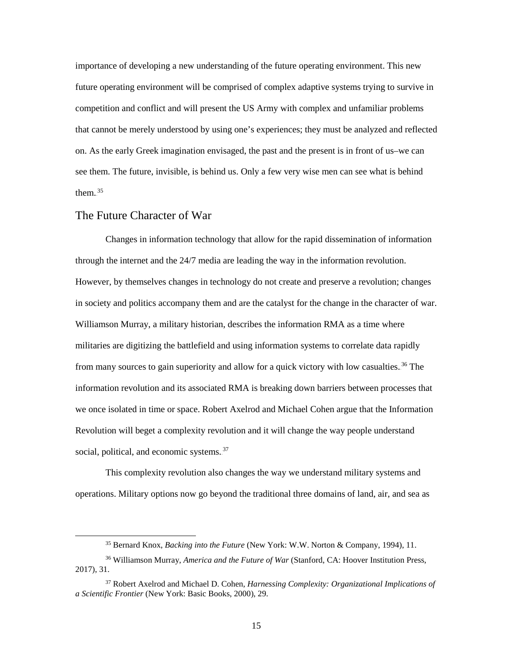importance of developing a new understanding of the future operating environment. This new future operating environment will be comprised of complex adaptive systems trying to survive in competition and conflict and will present the US Army with complex and unfamiliar problems that cannot be merely understood by using one's experiences; they must be analyzed and reflected on. As the early Greek imagination envisaged, the past and the present is in front of us–we can see them. The future, invisible, is behind us. Only a few very wise men can see what is behind them. $^{35}$ 

#### <span id="page-22-0"></span>The Future Character of War

Changes in information technology that allow for the rapid dissemination of information through the internet and the 24/7 media are leading the way in the information revolution. However, by themselves changes in technology do not create and preserve a revolution; changes in society and politics accompany them and are the catalyst for the change in the character of war. Williamson Murray, a military historian, describes the information RMA as a time where militaries are digitizing the battlefield and using information systems to correlate data rapidly from many sources to gain superiority and allow for a quick victory with low casualties.<sup>36</sup> The information revolution and its associated RMA is breaking down barriers between processes that we once isolated in time or space. Robert Axelrod and Michael Cohen argue that the Information Revolution will beget a complexity revolution and it will change the way people understand social, political, and economic systems.<sup>37</sup>

This complexity revolution also changes the way we understand military systems and operations. Military options now go beyond the traditional three domains of land, air, and sea as

15

 <sup>35</sup> Bernard Knox, *Backing into the Future* (New York: W.W. Norton & Company, 1994), 11.

<sup>36</sup> Williamson Murray, *America and the Future of War* (Stanford, CA: Hoover Institution Press, 2017), 31.

<sup>37</sup> Robert Axelrod and Michael D. Cohen, *Harnessing Complexity: Organizational Implications of a Scientific Frontier* (New York: Basic Books, 2000), 29.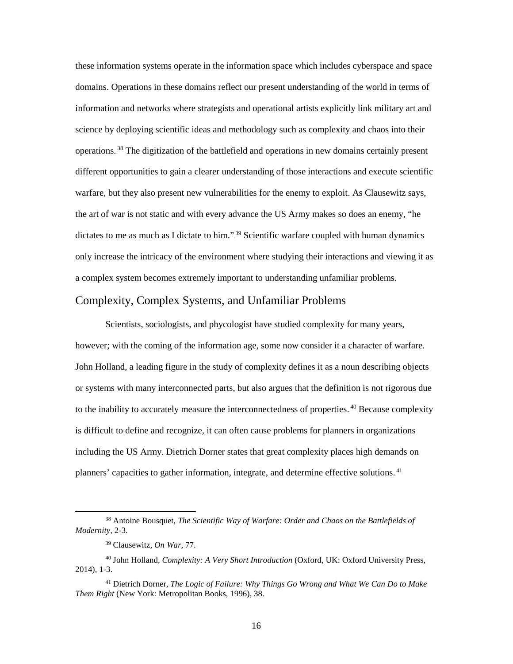these information systems operate in the information space which includes cyberspace and space domains. Operations in these domains reflect our present understanding of the world in terms of information and networks where strategists and operational artists explicitly link military art and science by deploying scientific ideas and methodology such as complexity and chaos into their operations.<sup>38</sup> The digitization of the battlefield and operations in new domains certainly present different opportunities to gain a clearer understanding of those interactions and execute scientific warfare, but they also present new vulnerabilities for the enemy to exploit. As Clausewitz says, the art of war is not static and with every advance the US Army makes so does an enemy, "he dictates to me as much as I dictate to him."<sup>39</sup> Scientific warfare coupled with human dynamics only increase the intricacy of the environment where studying their interactions and viewing it as a complex system becomes extremely important to understanding unfamiliar problems.

#### <span id="page-23-0"></span>Complexity, Complex Systems, and Unfamiliar Problems

Scientists, sociologists, and phycologist have studied complexity for many years, however; with the coming of the information age, some now consider it a character of warfare. John Holland, a leading figure in the study of complexity defines it as a noun describing objects or systems with many interconnected parts, but also argues that the definition is not rigorous due to the inability to accurately measure the interconnectedness of properties.<sup>40</sup> Because complexity is difficult to define and recognize, it can often cause problems for planners in organizations including the US Army. Dietrich Dorner states that great complexity places high demands on planners' capacities to gather information, integrate, and determine effective solutions.<sup>41</sup>

 <sup>38</sup> Antoine Bousquet, *The Scientific Way of Warfare: Order and Chaos on the Battlefields of Modernity,* 2-3.

<sup>39</sup> Clausewitz, *On War*, 77.

<sup>40</sup> John Holland, *Complexity: A Very Short Introduction* (Oxford, UK: Oxford University Press, 2014), 1-3.

<sup>41</sup> Dietrich Dorner, *The Logic of Failure: Why Things Go Wrong and What We Can Do to Make Them Right* (New York: Metropolitan Books, 1996), 38.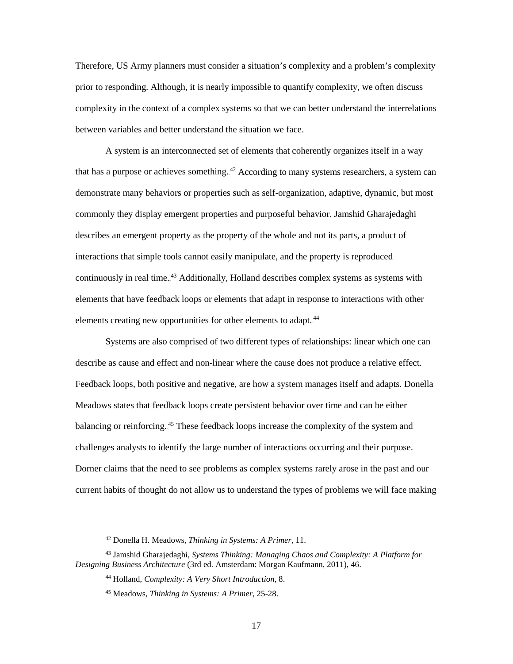Therefore, US Army planners must consider a situation's complexity and a problem's complexity prior to responding. Although, it is nearly impossible to quantify complexity, we often discuss complexity in the context of a complex systems so that we can better understand the interrelations between variables and better understand the situation we face.

A system is an interconnected set of elements that coherently organizes itself in a way that has a purpose or achieves something. <sup>42</sup> According to many systems researchers, a system can demonstrate many behaviors or properties such as self-organization, adaptive, dynamic, but most commonly they display emergent properties and purposeful behavior. Jamshid Gharajedaghi describes an emergent property as the property of the whole and not its parts, a product of interactions that simple tools cannot easily manipulate, and the property is reproduced continuously in real time.<sup>43</sup> Additionally, Holland describes complex systems as systems with elements that have feedback loops or elements that adapt in response to interactions with other elements creating new opportunities for other elements to adapt.<sup>44</sup>

Systems are also comprised of two different types of relationships: linear which one can describe as cause and effect and non-linear where the cause does not produce a relative effect. Feedback loops, both positive and negative, are how a system manages itself and adapts. Donella Meadows states that feedback loops create persistent behavior over time and can be either balancing or reinforcing.<sup>45</sup> These feedback loops increase the complexity of the system and challenges analysts to identify the large number of interactions occurring and their purpose. Dorner claims that the need to see problems as complex systems rarely arose in the past and our current habits of thought do not allow us to understand the types of problems we will face making

 <sup>42</sup> Donella H. Meadows, *Thinking in Systems: A Primer*, 11.

<sup>43</sup> Jamshid Gharajedaghi, *Systems Thinking: Managing Chaos and Complexity: A Platform for Designing Business Architecture* (3rd ed. Amsterdam: Morgan Kaufmann, 2011), 46.

<sup>44</sup> Holland, *Complexity: A Very Short Introduction*, 8.

<sup>45</sup> Meadows, *Thinking in Systems: A Primer*, 25-28.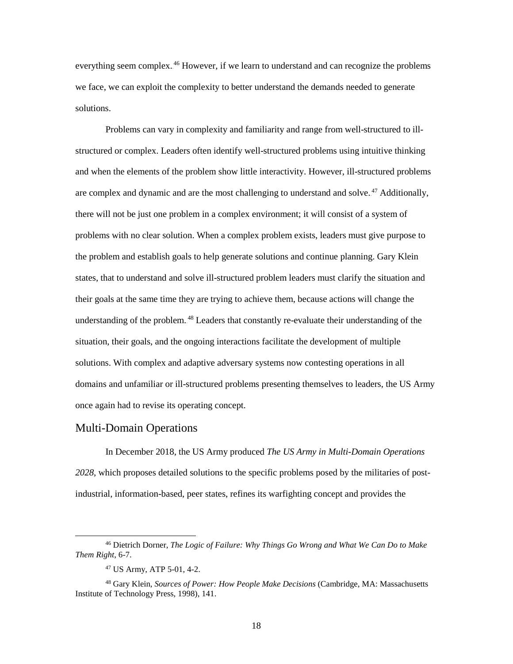everything seem complex.<sup>46</sup> However, if we learn to understand and can recognize the problems we face, we can exploit the complexity to better understand the demands needed to generate solutions.

Problems can vary in complexity and familiarity and range from well-structured to illstructured or complex. Leaders often identify well-structured problems using intuitive thinking and when the elements of the problem show little interactivity. However, ill-structured problems are complex and dynamic and are the most challenging to understand and solve.<sup>47</sup> Additionally, there will not be just one problem in a complex environment; it will consist of a system of problems with no clear solution. When a complex problem exists, leaders must give purpose to the problem and establish goals to help generate solutions and continue planning. Gary Klein states, that to understand and solve ill-structured problem leaders must clarify the situation and their goals at the same time they are trying to achieve them, because actions will change the understanding of the problem.<sup>48</sup> Leaders that constantly re-evaluate their understanding of the situation, their goals, and the ongoing interactions facilitate the development of multiple solutions. With complex and adaptive adversary systems now contesting operations in all domains and unfamiliar or ill-structured problems presenting themselves to leaders, the US Army once again had to revise its operating concept.

#### <span id="page-25-0"></span>Multi-Domain Operations

In December 2018, the US Army produced *The US Army in Multi-Domain Operations 2028*, which proposes detailed solutions to the specific problems posed by the militaries of postindustrial, information-based, peer states, refines its warfighting concept and provides the

 <sup>46</sup> Dietrich Dorner, *The Logic of Failure: Why Things Go Wrong and What We Can Do to Make Them Right*, 6-7.

<sup>47</sup> US Army, ATP 5-01, 4-2.

<sup>48</sup> Gary Klein, *Sources of Power: How People Make Decisions* (Cambridge, MA: Massachusetts Institute of Technology Press, 1998), 141.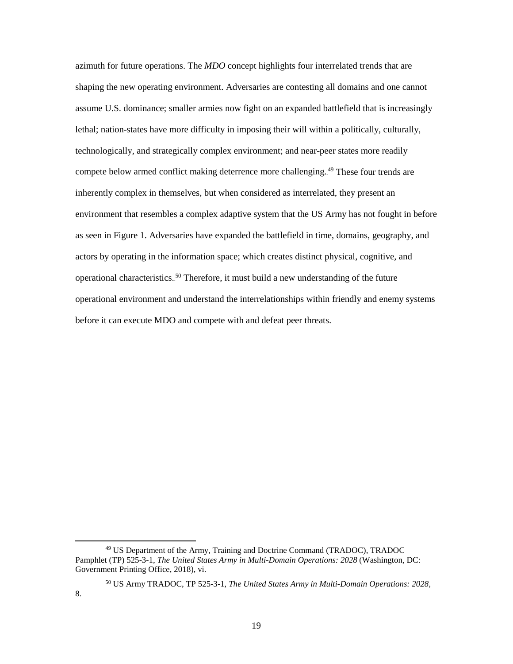azimuth for future operations. The *MDO* concept highlights four interrelated trends that are shaping the new operating environment. Adversaries are contesting all domains and one cannot assume U.S. dominance; smaller armies now fight on an expanded battlefield that is increasingly lethal; nation-states have more difficulty in imposing their will within a politically, culturally, technologically, and strategically complex environment; and near-peer states more readily compete below armed conflict making deterrence more challenging.<sup>49</sup> These four trends are inherently complex in themselves, but when considered as interrelated, they present an environment that resembles a complex adaptive system that the US Army has not fought in before as seen in Figure 1. Adversaries have expanded the battlefield in time, domains, geography, and actors by operating in the information space; which creates distinct physical, cognitive, and operational characteristics.<sup>50</sup> Therefore, it must build a new understanding of the future operational environment and understand the interrelationships within friendly and enemy systems before it can execute MDO and compete with and defeat peer threats.

 <sup>49</sup> US Department of the Army, Training and Doctrine Command (TRADOC), TRADOC Pamphlet (TP) 525-3-1, *The United States Army in Multi-Domain Operations: 2028* (Washington, DC: Government Printing Office, 2018), vi.

<sup>50</sup> US Army TRADOC, TP 525-3-1, *The United States Army in Multi-Domain Operations: 2028*, 8.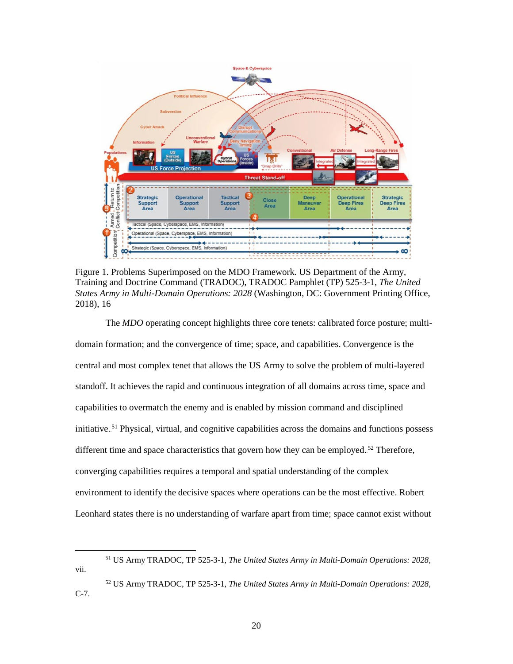

<span id="page-27-0"></span>Figure 1. Problems Superimposed on the MDO Framework. US Department of the Army, Training and Doctrine Command (TRADOC), TRADOC Pamphlet (TP) 525-3-1, *The United States Army in Multi-Domain Operations: 2028* (Washington, DC: Government Printing Office, 2018), 16

The *MDO* operating concept highlights three core tenets: calibrated force posture; multidomain formation; and the convergence of time; space, and capabilities. Convergence is the central and most complex tenet that allows the US Army to solve the problem of multi-layered standoff. It achieves the rapid and continuous integration of all domains across time, space and capabilities to overmatch the enemy and is enabled by mission command and disciplined initiative.<sup>51</sup> Physical, virtual, and cognitive capabilities across the domains and functions possess different time and space characteristics that govern how they can be employed.<sup>52</sup> Therefore, converging capabilities requires a temporal and spatial understanding of the complex environment to identify the decisive spaces where operations can be the most effective. Robert Leonhard states there is no understanding of warfare apart from time; space cannot exist without

 <sup>51</sup> US Army TRADOC, TP 525-3-1, *The United States Army in Multi-Domain Operations: 2028*, vii.

<sup>52</sup> US Army TRADOC, TP 525-3-1, *The United States Army in Multi-Domain Operations: 2028*, C-7.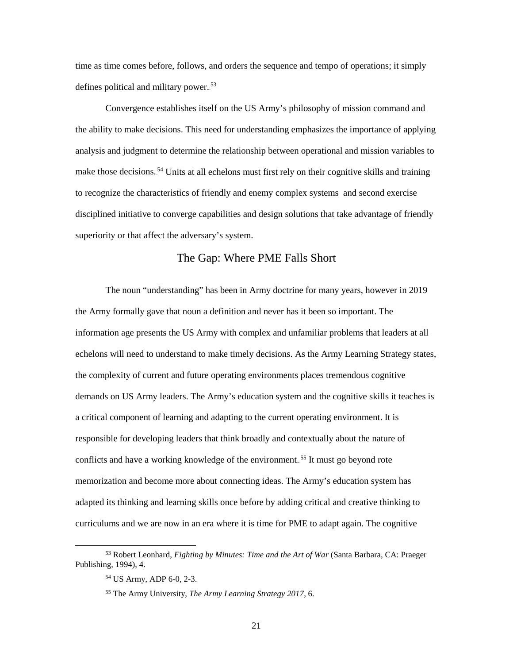time as time comes before, follows, and orders the sequence and tempo of operations; it simply defines political and military power.<sup>53</sup>

Convergence establishes itself on the US Army's philosophy of mission command and the ability to make decisions. This need for understanding emphasizes the importance of applying analysis and judgment to determine the relationship between operational and mission variables to make those decisions.<sup>54</sup> Units at all echelons must first rely on their cognitive skills and training to recognize the characteristics of friendly and enemy complex systems and second exercise disciplined initiative to converge capabilities and design solutions that take advantage of friendly superiority or that affect the adversary's system.

#### The Gap: Where PME Falls Short

<span id="page-28-0"></span>The noun "understanding" has been in Army doctrine for many years, however in 2019 the Army formally gave that noun a definition and never has it been so important. The information age presents the US Army with complex and unfamiliar problems that leaders at all echelons will need to understand to make timely decisions. As the Army Learning Strategy states, the complexity of current and future operating environments places tremendous cognitive demands on US Army leaders. The Army's education system and the cognitive skills it teaches is a critical component of learning and adapting to the current operating environment. It is responsible for developing leaders that think broadly and contextually about the nature of conflicts and have a working knowledge of the environment.<sup>55</sup> It must go beyond rote memorization and become more about connecting ideas. The Army's education system has adapted its thinking and learning skills once before by adding critical and creative thinking to curriculums and we are now in an era where it is time for PME to adapt again. The cognitive

 <sup>53</sup> Robert Leonhard, *Fighting by Minutes: Time and the Art of War* (Santa Barbara, CA: Praeger Publishing, 1994), 4.

<sup>54</sup> US Army, ADP 6-0, 2-3.

<sup>55</sup> The Army University, *The Army Learning Strategy 2017*, 6.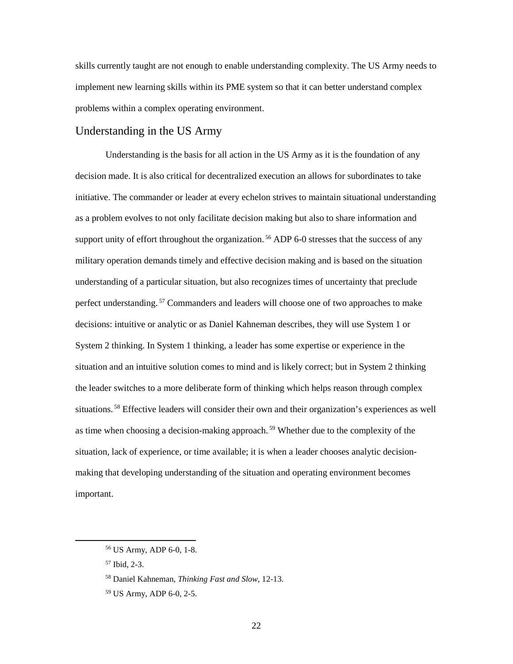skills currently taught are not enough to enable understanding complexity. The US Army needs to implement new learning skills within its PME system so that it can better understand complex problems within a complex operating environment.

#### <span id="page-29-0"></span>Understanding in the US Army

Understanding is the basis for all action in the US Army as it is the foundation of any decision made. It is also critical for decentralized execution an allows for subordinates to take initiative. The commander or leader at every echelon strives to maintain situational understanding as a problem evolves to not only facilitate decision making but also to share information and support unity of effort throughout the organization.<sup>56</sup> ADP 6-0 stresses that the success of any military operation demands timely and effective decision making and is based on the situation understanding of a particular situation, but also recognizes times of uncertainty that preclude perfect understanding.<sup>57</sup> Commanders and leaders will choose one of two approaches to make decisions: intuitive or analytic or as Daniel Kahneman describes, they will use System 1 or System 2 thinking. In System 1 thinking, a leader has some expertise or experience in the situation and an intuitive solution comes to mind and is likely correct; but in System 2 thinking the leader switches to a more deliberate form of thinking which helps reason through complex situations.<sup>58</sup> Effective leaders will consider their own and their organization's experiences as well as time when choosing a decision-making approach.<sup>59</sup> Whether due to the complexity of the situation, lack of experience, or time available; it is when a leader chooses analytic decisionmaking that developing understanding of the situation and operating environment becomes important.

 <sup>56</sup> US Army, ADP 6-0, 1-8.

<sup>57</sup> Ibid, 2-3.

<sup>58</sup> Daniel Kahneman, *Thinking Fast and Slow*, 12-13.

<sup>59</sup> US Army, ADP 6-0, 2-5.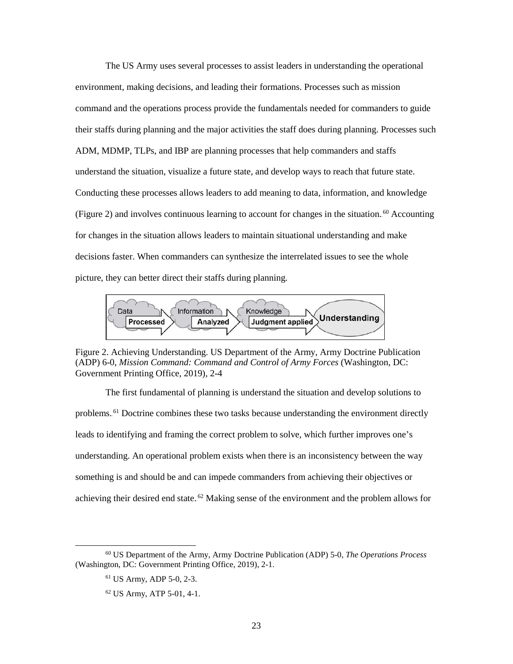The US Army uses several processes to assist leaders in understanding the operational environment, making decisions, and leading their formations. Processes such as mission command and the operations process provide the fundamentals needed for commanders to guide their staffs during planning and the major activities the staff does during planning. Processes such ADM, MDMP, TLPs, and IBP are planning processes that help commanders and staffs understand the situation, visualize a future state, and develop ways to reach that future state. Conducting these processes allows leaders to add meaning to data, information, and knowledge (Figure 2) and involves continuous learning to account for changes in the situation.<sup>60</sup> Accounting for changes in the situation allows leaders to maintain situational understanding and make decisions faster. When commanders can synthesize the interrelated issues to see the whole picture, they can better direct their staffs during planning.



<span id="page-30-0"></span>Figure 2. Achieving Understanding. US Department of the Army, Army Doctrine Publication (ADP) 6-0, *Mission Command: Command and Control of Army Forces* (Washington, DC: Government Printing Office, 2019), 2-4

The first fundamental of planning is understand the situation and develop solutions to problems.<sup>61</sup> Doctrine combines these two tasks because understanding the environment directly leads to identifying and framing the correct problem to solve, which further improves one's understanding. An operational problem exists when there is an inconsistency between the way something is and should be and can impede commanders from achieving their objectives or achieving their desired end state.<sup>62</sup> Making sense of the environment and the problem allows for

 <sup>60</sup> US Department of the Army, Army Doctrine Publication (ADP) 5-0, *The Operations Process* (Washington, DC: Government Printing Office, 2019), 2-1.

<sup>61</sup> US Army, ADP 5-0, 2-3.

<sup>62</sup> US Army, ATP 5-01, 4-1.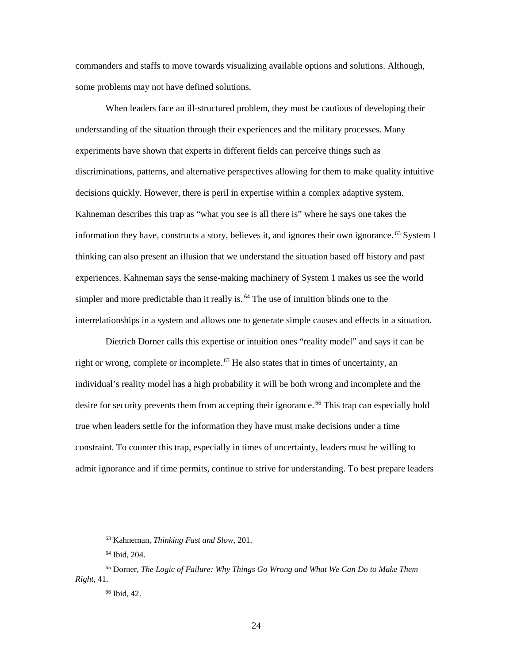commanders and staffs to move towards visualizing available options and solutions. Although, some problems may not have defined solutions.

When leaders face an ill-structured problem, they must be cautious of developing their understanding of the situation through their experiences and the military processes. Many experiments have shown that experts in different fields can perceive things such as discriminations, patterns, and alternative perspectives allowing for them to make quality intuitive decisions quickly. However, there is peril in expertise within a complex adaptive system. Kahneman describes this trap as "what you see is all there is" where he says one takes the information they have, constructs a story, believes it, and ignores their own ignorance.<sup>63</sup> System 1 thinking can also present an illusion that we understand the situation based off history and past experiences. Kahneman says the sense-making machinery of System 1 makes us see the world simpler and more predictable than it really is.<sup>64</sup> The use of intuition blinds one to the interrelationships in a system and allows one to generate simple causes and effects in a situation.

Dietrich Dorner calls this expertise or intuition ones "reality model" and says it can be right or wrong, complete or incomplete.<sup>65</sup> He also states that in times of uncertainty, an individual's reality model has a high probability it will be both wrong and incomplete and the desire for security prevents them from accepting their ignorance.<sup>66</sup> This trap can especially hold true when leaders settle for the information they have must make decisions under a time constraint. To counter this trap, especially in times of uncertainty, leaders must be willing to admit ignorance and if time permits, continue to strive for understanding. To best prepare leaders

 <sup>63</sup> Kahneman, *Thinking Fast and Slow*, 201.

<sup>64</sup> Ibid, 204.

<sup>65</sup> Dorner, *The Logic of Failure: Why Things Go Wrong and What We Can Do to Make Them Right*, 41.

<sup>66</sup> Ibid, 42.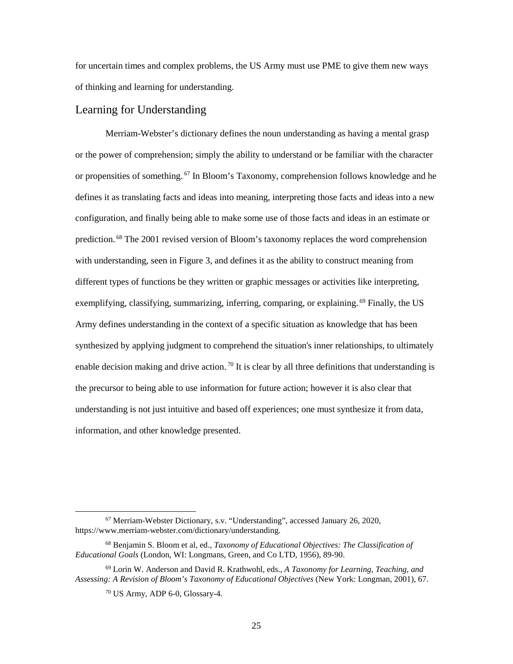for uncertain times and complex problems, the US Army must use PME to give them new ways of thinking and learning for understanding.

#### <span id="page-32-0"></span>Learning for Understanding

Merriam-Webster's dictionary defines the noun understanding as having a mental grasp or the power of comprehension; simply the ability to understand or be familiar with the character or propensities of something.<sup>67</sup> In Bloom's Taxonomy, comprehension follows knowledge and he defines it as translating facts and ideas into meaning, interpreting those facts and ideas into a new configuration, and finally being able to make some use of those facts and ideas in an estimate or prediction.<sup>68</sup> The 2001 revised version of Bloom's taxonomy replaces the word comprehension with understanding, seen in Figure 3, and defines it as the ability to construct meaning from different types of functions be they written or graphic messages or activities like interpreting, exemplifying, classifying, summarizing, inferring, comparing, or explaining.<sup>69</sup> Finally, the US Army defines understanding in the context of a specific situation as knowledge that has been synthesized by applying judgment to comprehend the situation's inner relationships, to ultimately enable decision making and drive action.<sup>70</sup> It is clear by all three definitions that understanding is the precursor to being able to use information for future action; however it is also clear that understanding is not just intuitive and based off experiences; one must synthesize it from data, information, and other knowledge presented.

 <sup>67</sup> Merriam-Webster Dictionary, s.v. "Understanding", accessed January 26, 2020, [https://www.merriam-webster.com/dictionary/understanding.](https://www.merriam-webster.com/dictionary/understanding)

<sup>68</sup> Benjamin S. Bloom et al, ed., *Taxonomy of Educational Objectives: The Classification of Educational Goals* (London, WI: Longmans, Green, and Co LTD, 1956), 89-90.

<sup>69</sup> Lorin W. Anderson and David R. Krathwohl, eds., *A Taxonomy for Learning, Teaching, and Assessing: A Revision of Bloom's Taxonomy of Educational Objectives* (New York: Longman, 2001), 67.

 $70$  US Army, ADP 6-0, Glossary-4.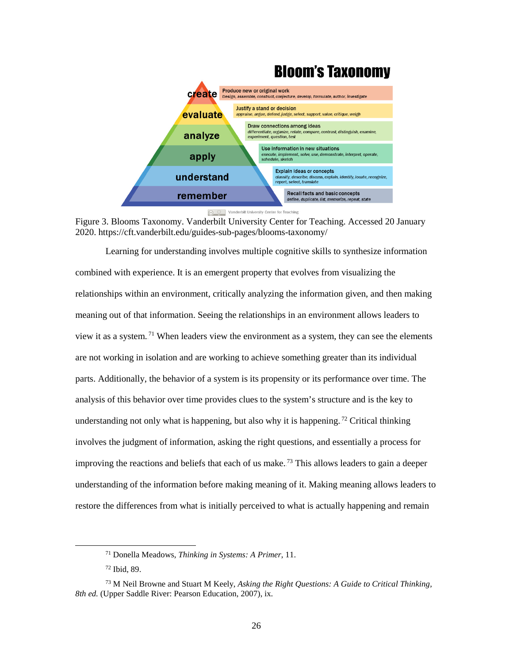

<span id="page-33-0"></span>**Figure 3. Blooms Taxonomy. Vanderbilt University Center for Teaching** Accessed 20 January 2020. https://cft.vanderbilt.edu/guides-sub-pages/blooms-taxonomy/

Learning for understanding involves multiple cognitive skills to synthesize information combined with experience. It is an emergent property that evolves from visualizing the relationships within an environment, critically analyzing the information given, and then making meaning out of that information. Seeing the relationships in an environment allows leaders to view it as a system.<sup>71</sup> When leaders view the environment as a system, they can see the elements are not working in isolation and are working to achieve something greater than its individual parts. Additionally, the behavior of a system is its propensity or its performance over time. The analysis of this behavior over time provides clues to the system's structure and is the key to understanding not only what is happening, but also why it is happening.<sup>72</sup> Critical thinking involves the judgment of information, asking the right questions, and essentially a process for improving the reactions and beliefs that each of us make.<sup>73</sup> This allows leaders to gain a deeper understanding of the information before making meaning of it. Making meaning allows leaders to restore the differences from what is initially perceived to what is actually happening and remain

 <sup>71</sup> Donella Meadows, *Thinking in Systems: A Primer*, 11.

<sup>72</sup> Ibid, 89.

<sup>73</sup> M Neil Browne and Stuart M Keely, *Asking the Right Questions: A Guide to Critical Thinking, 8th ed.* (Upper Saddle River: Pearson Education, 2007), ix.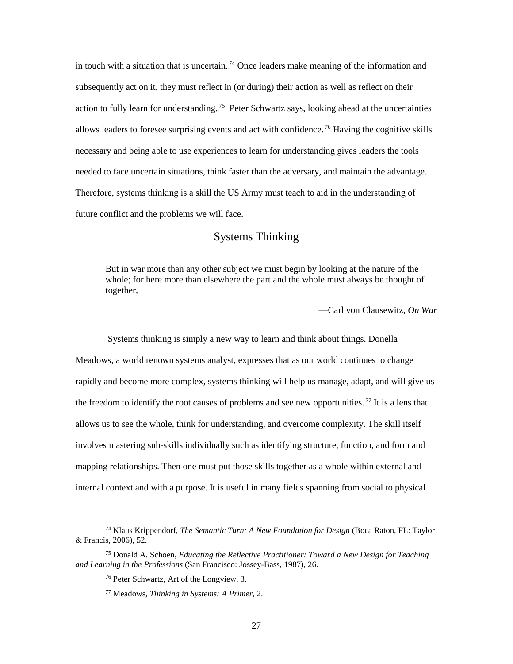in touch with a situation that is uncertain.<sup>74</sup> Once leaders make meaning of the information and subsequently act on it, they must reflect in (or during) their action as well as reflect on their action to fully learn for understanding.<sup>75</sup> Peter Schwartz says, looking ahead at the uncertainties allows leaders to foresee surprising events and act with confidence.<sup>76</sup> Having the cognitive skills necessary and being able to use experiences to learn for understanding gives leaders the tools needed to face uncertain situations, think faster than the adversary, and maintain the advantage. Therefore, systems thinking is a skill the US Army must teach to aid in the understanding of future conflict and the problems we will face.

### Systems Thinking

<span id="page-34-0"></span>But in war more than any other subject we must begin by looking at the nature of the whole; for here more than elsewhere the part and the whole must always be thought of together,

—Carl von Clausewitz, *On War*

 Systems thinking is simply a new way to learn and think about things. Donella Meadows, a world renown systems analyst, expresses that as our world continues to change rapidly and become more complex, systems thinking will help us manage, adapt, and will give us the freedom to identify the root causes of problems and see new opportunities.<sup>77</sup> It is a lens that allows us to see the whole, think for understanding, and overcome complexity. The skill itself involves mastering sub-skills individually such as identifying structure, function, and form and mapping relationships. Then one must put those skills together as a whole within external and internal context and with a purpose. It is useful in many fields spanning from social to physical

 <sup>74</sup> Klaus Krippendorf, *The Semantic Turn: A New Foundation for Design* (Boca Raton, FL: Taylor & Francis, 2006), 52.

<sup>75</sup> Donald A. Schoen, *Educating the Reflective Practitioner: Toward a New Design for Teaching and Learning in the Professions* (San Francisco: Jossey-Bass, 1987), 26.

<sup>76</sup> Peter Schwartz, Art of the Longview, 3.

<sup>77</sup> Meadows, *Thinking in Systems: A Primer*, 2.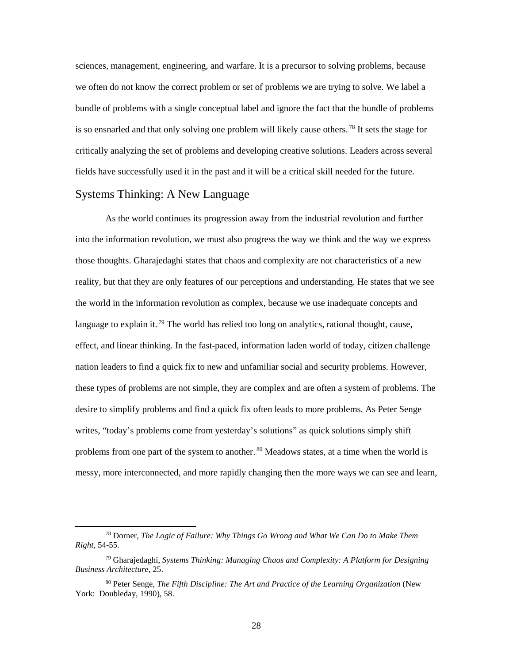sciences, management, engineering, and warfare. It is a precursor to solving problems, because we often do not know the correct problem or set of problems we are trying to solve. We label a bundle of problems with a single conceptual label and ignore the fact that the bundle of problems is so ensnarled and that only solving one problem will likely cause others.<sup>78</sup> It sets the stage for critically analyzing the set of problems and developing creative solutions. Leaders across several fields have successfully used it in the past and it will be a critical skill needed for the future.

#### <span id="page-35-0"></span>Systems Thinking: A New Language

As the world continues its progression away from the industrial revolution and further into the information revolution, we must also progress the way we think and the way we express those thoughts. Gharajedaghi states that chaos and complexity are not characteristics of a new reality, but that they are only features of our perceptions and understanding. He states that we see the world in the information revolution as complex, because we use inadequate concepts and language to explain it.<sup>79</sup> The world has relied too long on analytics, rational thought, cause, effect, and linear thinking. In the fast-paced, information laden world of today, citizen challenge nation leaders to find a quick fix to new and unfamiliar social and security problems. However, these types of problems are not simple, they are complex and are often a system of problems. The desire to simplify problems and find a quick fix often leads to more problems. As Peter Senge writes, "today's problems come from yesterday's solutions" as quick solutions simply shift problems from one part of the system to another.<sup>80</sup> Meadows states, at a time when the world is messy, more interconnected, and more rapidly changing then the more ways we can see and learn,

 <sup>78</sup> Dorner, *The Logic of Failure: Why Things Go Wrong and What We Can Do to Make Them Right*, 54-55.

<sup>79</sup> Gharajedaghi, *Systems Thinking: Managing Chaos and Complexity: A Platform for Designing Business Architecture*, 25.

<sup>80</sup> Peter Senge, *The Fifth Discipline: The Art and Practice of the Learning Organization* (New York: Doubleday, 1990), 58.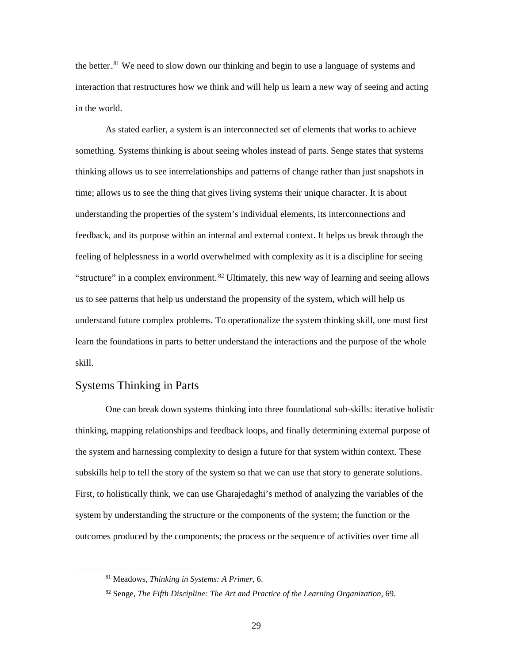the better.<sup>81</sup> We need to slow down our thinking and begin to use a language of systems and interaction that restructures how we think and will help us learn a new way of seeing and acting in the world.

As stated earlier, a system is an interconnected set of elements that works to achieve something. Systems thinking is about seeing wholes instead of parts. Senge states that systems thinking allows us to see interrelationships and patterns of change rather than just snapshots in time; allows us to see the thing that gives living systems their unique character. It is about understanding the properties of the system's individual elements, its interconnections and feedback, and its purpose within an internal and external context. It helps us break through the feeling of helplessness in a world overwhelmed with complexity as it is a discipline for seeing "structure" in a complex environment.<sup>82</sup> Ultimately, this new way of learning and seeing allows us to see patterns that help us understand the propensity of the system, which will help us understand future complex problems. To operationalize the system thinking skill, one must first learn the foundations in parts to better understand the interactions and the purpose of the whole skill.

#### <span id="page-36-0"></span>Systems Thinking in Parts

One can break down systems thinking into three foundational sub-skills: iterative holistic thinking, mapping relationships and feedback loops, and finally determining external purpose of the system and harnessing complexity to design a future for that system within context. These subskills help to tell the story of the system so that we can use that story to generate solutions. First, to holistically think, we can use Gharajedaghi's method of analyzing the variables of the system by understanding the structure or the components of the system; the function or the outcomes produced by the components; the process or the sequence of activities over time all

 <sup>81</sup> Meadows, *Thinking in Systems: A Primer*, 6.

<sup>82</sup> Senge, *The Fifth Discipline: The Art and Practice of the Learning Organization*, 69.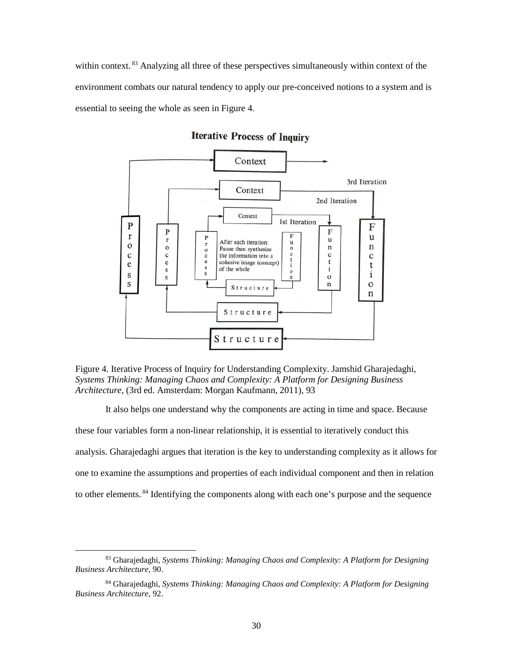within context.<sup>83</sup> Analyzing all three of these perspectives simultaneously within context of the environment combats our natural tendency to apply our pre-conceived notions to a system and is essential to seeing the whole as seen in Figure 4.



**Iterative Process of Inquiry** 

<span id="page-37-0"></span>Figure 4. Iterative Process of Inquiry for Understanding Complexity. Jamshid Gharajedaghi, *Systems Thinking: Managing Chaos and Complexity: A Platform for Designing Business Architecture*, (3rd ed. Amsterdam: Morgan Kaufmann, 2011), 93

It also helps one understand why the components are acting in time and space. Because these four variables form a non-linear relationship, it is essential to iteratively conduct this analysis. Gharajedaghi argues that iteration is the key to understanding complexity as it allows for one to examine the assumptions and properties of each individual component and then in relation to other elements.<sup>84</sup> Identifying the components along with each one's purpose and the sequence

 <sup>83</sup> Gharajedaghi, *Systems Thinking: Managing Chaos and Complexity: A Platform for Designing Business Architecture*, 90.

<sup>84</sup> Gharajedaghi, *Systems Thinking: Managing Chaos and Complexity: A Platform for Designing Business Architecture*, 92.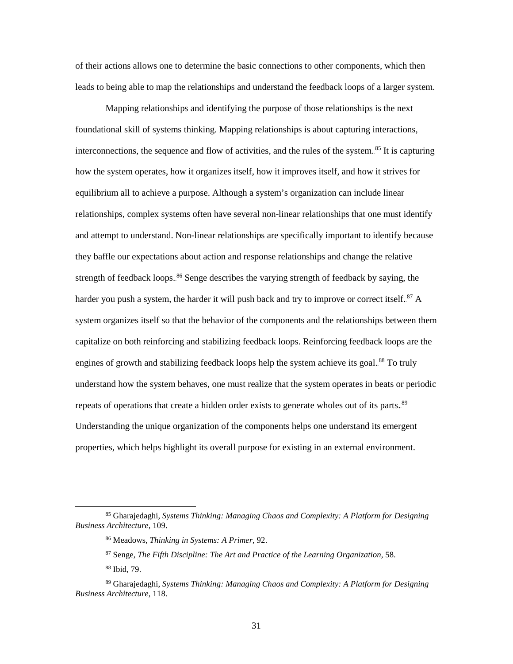of their actions allows one to determine the basic connections to other components, which then leads to being able to map the relationships and understand the feedback loops of a larger system.

Mapping relationships and identifying the purpose of those relationships is the next foundational skill of systems thinking. Mapping relationships is about capturing interactions, interconnections, the sequence and flow of activities, and the rules of the system.<sup>85</sup> It is capturing how the system operates, how it organizes itself, how it improves itself, and how it strives for equilibrium all to achieve a purpose. Although a system's organization can include linear relationships, complex systems often have several non-linear relationships that one must identify and attempt to understand. Non-linear relationships are specifically important to identify because they baffle our expectations about action and response relationships and change the relative strength of feedback loops..<sup>86</sup> Senge describes the varying strength of feedback by saying, the harder you push a system, the harder it will push back and try to improve or correct itself.<sup>87</sup> A system organizes itself so that the behavior of the components and the relationships between them capitalize on both reinforcing and stabilizing feedback loops. Reinforcing feedback loops are the engines of growth and stabilizing feedback loops help the system achieve its goal.<sup>88</sup> To truly understand how the system behaves, one must realize that the system operates in beats or periodic repeats of operations that create a hidden order exists to generate wholes out of its parts.<sup>89</sup> Understanding the unique organization of the components helps one understand its emergent properties, which helps highlight its overall purpose for existing in an external environment.

 <sup>85</sup> Gharajedaghi, *Systems Thinking: Managing Chaos and Complexity: A Platform for Designing Business Architecture*, 109.

<sup>86</sup> Meadows, *Thinking in Systems: A Primer*, 92.

<sup>87</sup> Senge, *The Fifth Discipline: The Art and Practice of the Learning Organization*, 58.

<sup>88</sup> Ibid, 79.

<sup>89</sup> Gharajedaghi, *Systems Thinking: Managing Chaos and Complexity: A Platform for Designing Business Architecture*, 118.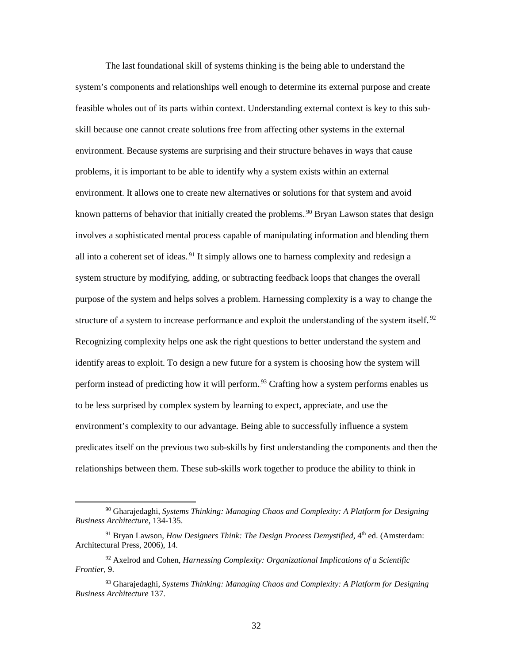The last foundational skill of systems thinking is the being able to understand the system's components and relationships well enough to determine its external purpose and create feasible wholes out of its parts within context. Understanding external context is key to this subskill because one cannot create solutions free from affecting other systems in the external environment. Because systems are surprising and their structure behaves in ways that cause problems, it is important to be able to identify why a system exists within an external environment. It allows one to create new alternatives or solutions for that system and avoid known patterns of behavior that initially created the problems.<sup>90</sup> Bryan Lawson states that design involves a sophisticated mental process capable of manipulating information and blending them all into a coherent set of ideas.<sup>91</sup> It simply allows one to harness complexity and redesign a system structure by modifying, adding, or subtracting feedback loops that changes the overall purpose of the system and helps solves a problem. Harnessing complexity is a way to change the structure of a system to increase performance and exploit the understanding of the system itself.<sup>92</sup> Recognizing complexity helps one ask the right questions to better understand the system and identify areas to exploit. To design a new future for a system is choosing how the system will perform instead of predicting how it will perform.<sup>93</sup> Crafting how a system performs enables us to be less surprised by complex system by learning to expect, appreciate, and use the environment's complexity to our advantage. Being able to successfully influence a system predicates itself on the previous two sub-skills by first understanding the components and then the relationships between them. These sub-skills work together to produce the ability to think in

 <sup>90</sup> Gharajedaghi, *Systems Thinking: Managing Chaos and Complexity: A Platform for Designing Business Architecture*, 134-135.

<sup>&</sup>lt;sup>91</sup> Bryan Lawson, *How Designers Think: The Design Process Demystified*, 4<sup>th</sup> ed. (Amsterdam: Architectural Press, 2006), 14.

<sup>92</sup> Axelrod and Cohen, *Harnessing Complexity: Organizational Implications of a Scientific Frontier*, 9.

<sup>93</sup> Gharajedaghi, *Systems Thinking: Managing Chaos and Complexity: A Platform for Designing Business Architecture* 137.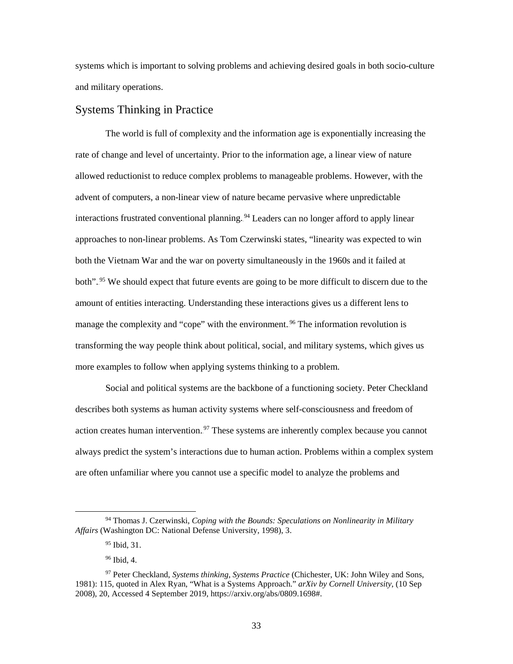systems which is important to solving problems and achieving desired goals in both socio-culture and military operations.

#### <span id="page-40-0"></span>Systems Thinking in Practice

The world is full of complexity and the information age is exponentially increasing the rate of change and level of uncertainty. Prior to the information age, a linear view of nature allowed reductionist to reduce complex problems to manageable problems. However, with the advent of computers, a non-linear view of nature became pervasive where unpredictable interactions frustrated conventional planning.<sup>94</sup> Leaders can no longer afford to apply linear approaches to non-linear problems. As Tom Czerwinski states, "linearity was expected to win both the Vietnam War and the war on poverty simultaneously in the 1960s and it failed at both".<sup>95</sup> We should expect that future events are going to be more difficult to discern due to the amount of entities interacting. Understanding these interactions gives us a different lens to manage the complexity and "cope" with the environment.<sup>96</sup> The information revolution is transforming the way people think about political, social, and military systems, which gives us more examples to follow when applying systems thinking to a problem.

Social and political systems are the backbone of a functioning society. Peter Checkland describes both systems as human activity systems where self-consciousness and freedom of action creates human intervention.<sup>97</sup> These systems are inherently complex because you cannot always predict the system's interactions due to human action. Problems within a complex system are often unfamiliar where you cannot use a specific model to analyze the problems and

 <sup>94</sup> Thomas J. Czerwinski, *Coping with the Bounds: Speculations on Nonlinearity in Military Affairs* (Washington DC: National Defense University, 1998), 3.

<sup>&</sup>lt;sup>95</sup> Ibid, 31.

<sup>96</sup> Ibid, 4.

<sup>97</sup> Peter Checkland, *Systems thinking, Systems Practice* (Chichester, UK: John Wiley and Sons, 1981): 115, quoted in Alex Ryan, "What is a Systems Approach." *arXiv by Cornell University*, (10 Sep 2008), 20, Accessed 4 September 2019, [https://arxiv.org/abs/0809.1698#.](https://arxiv.org/abs/0809.1698)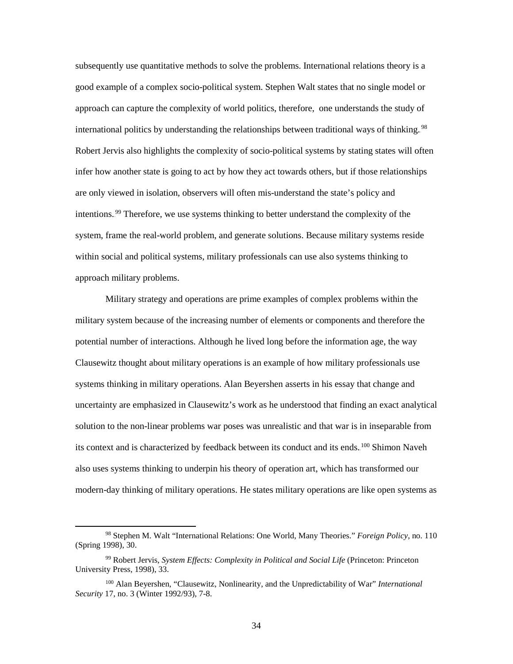subsequently use quantitative methods to solve the problems. International relations theory is a good example of a complex socio-political system. Stephen Walt states that no single model or approach can capture the complexity of world politics, therefore, one understands the study of international politics by understanding the relationships between traditional ways of thinking.<sup>98</sup> Robert Jervis also highlights the complexity of socio-political systems by stating states will often infer how another state is going to act by how they act towards others, but if those relationships are only viewed in isolation, observers will often mis-understand the state's policy and intentions.<sup>99</sup> Therefore, we use systems thinking to better understand the complexity of the system, frame the real-world problem, and generate solutions. Because military systems reside within social and political systems, military professionals can use also systems thinking to approach military problems.

Military strategy and operations are prime examples of complex problems within the military system because of the increasing number of elements or components and therefore the potential number of interactions. Although he lived long before the information age, the way Clausewitz thought about military operations is an example of how military professionals use systems thinking in military operations. Alan Beyershen asserts in his essay that change and uncertainty are emphasized in Clausewitz's work as he understood that finding an exact analytical solution to the non-linear problems war poses was unrealistic and that war is in inseparable from its context and is characterized by feedback between its conduct and its ends.<sup>100</sup> Shimon Naveh also uses systems thinking to underpin his theory of operation art, which has transformed our modern-day thinking of military operations. He states military operations are like open systems as

 <sup>98</sup> Stephen M. Walt "International Relations: One World, Many Theories." *Foreign Policy*, no. 110 (Spring 1998), 30.

<sup>99</sup> Robert Jervis, *System Effects: Complexity in Political and Social Life* (Princeton: Princeton University Press, 1998), 33.

<sup>100</sup> Alan Beyershen, "Clausewitz, Nonlinearity, and the Unpredictability of War" *International Security* 17, no. 3 (Winter 1992/93), 7-8.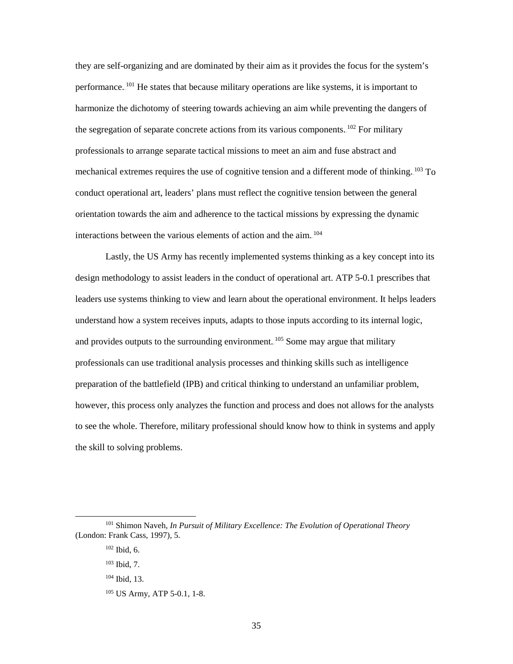they are self-organizing and are dominated by their aim as it provides the focus for the system's performance.<sup>101</sup> He states that because military operations are like systems, it is important to harmonize the dichotomy of steering towards achieving an aim while preventing the dangers of the segregation of separate concrete actions from its various components.  $102$  For military professionals to arrange separate tactical missions to meet an aim and fuse abstract and mechanical extremes requires the use of cognitive tension and a different mode of thinking. <sup>103</sup> To conduct operational art, leaders' plans must reflect the cognitive tension between the general orientation towards the aim and adherence to the tactical missions by expressing the dynamic interactions between the various elements of action and the aim.<sup>104</sup>

Lastly, the US Army has recently implemented systems thinking as a key concept into its design methodology to assist leaders in the conduct of operational art. ATP 5-0.1 prescribes that leaders use systems thinking to view and learn about the operational environment. It helps leaders understand how a system receives inputs, adapts to those inputs according to its internal logic, and provides outputs to the surrounding environment.  $105$  Some may argue that military professionals can use traditional analysis processes and thinking skills such as intelligence preparation of the battlefield (IPB) and critical thinking to understand an unfamiliar problem, however, this process only analyzes the function and process and does not allows for the analysts to see the whole. Therefore, military professional should know how to think in systems and apply the skill to solving problems.

 <sup>101</sup> Shimon Naveh, *In Pursuit of Military Excellence: The Evolution of Operational Theory* (London: Frank Cass, 1997), 5.

<sup>102</sup> Ibid, 6.

<sup>103</sup> Ibid, 7.

<sup>104</sup> Ibid*,* 13.

<sup>105</sup> US Army, ATP 5-0.1, 1-8.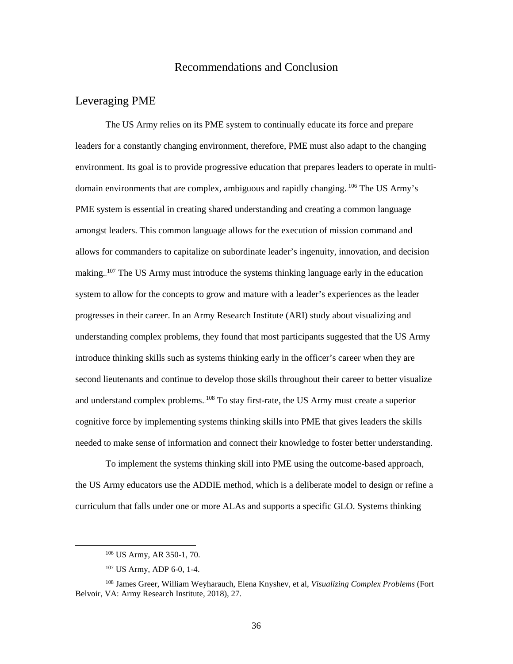#### Recommendations and Conclusion

#### <span id="page-43-1"></span><span id="page-43-0"></span>Leveraging PME

The US Army relies on its PME system to continually educate its force and prepare leaders for a constantly changing environment, therefore, PME must also adapt to the changing environment. Its goal is to provide progressive education that prepares leaders to operate in multidomain environments that are complex, ambiguous and rapidly changing. <sup>106</sup> The US Army's PME system is essential in creating shared understanding and creating a common language amongst leaders. This common language allows for the execution of mission command and allows for commanders to capitalize on subordinate leader's ingenuity, innovation, and decision making.<sup>107</sup> The US Army must introduce the systems thinking language early in the education system to allow for the concepts to grow and mature with a leader's experiences as the leader progresses in their career. In an Army Research Institute (ARI) study about visualizing and understanding complex problems, they found that most participants suggested that the US Army introduce thinking skills such as systems thinking early in the officer's career when they are second lieutenants and continue to develop those skills throughout their career to better visualize and understand complex problems. <sup>108</sup> To stay first-rate, the US Army must create a superior cognitive force by implementing systems thinking skills into PME that gives leaders the skills needed to make sense of information and connect their knowledge to foster better understanding.

To implement the systems thinking skill into PME using the outcome-based approach, the US Army educators use the ADDIE method, which is a deliberate model to design or refine a curriculum that falls under one or more ALAs and supports a specific GLO. Systems thinking

36

 <sup>106</sup> US Army, AR 350-1, 70.

<sup>107</sup> US Army, ADP 6-0, 1-4.

<sup>108</sup> James Greer, William Weyharauch, Elena Knyshev, et al, *Visualizing Complex Problems* (Fort Belvoir, VA: Army Research Institute, 2018), 27.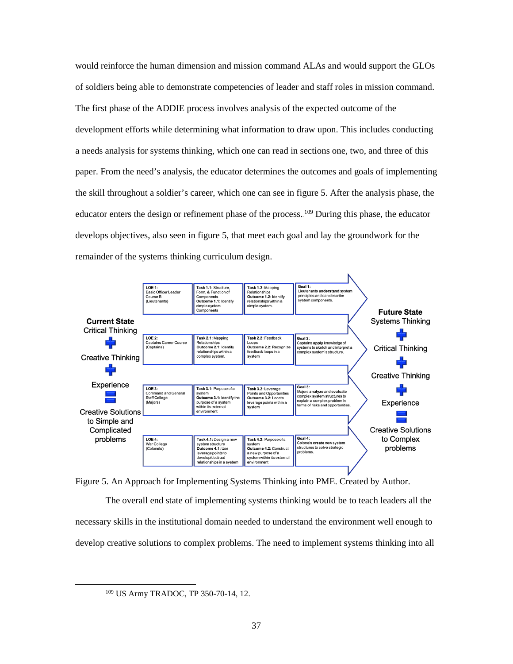would reinforce the human dimension and mission command ALAs and would support the GLOs of soldiers being able to demonstrate competencies of leader and staff roles in mission command. The first phase of the ADDIE process involves analysis of the expected outcome of the development efforts while determining what information to draw upon. This includes conducting a needs analysis for systems thinking, which one can read in sections one, two, and three of this paper. From the need's analysis, the educator determines the outcomes and goals of implementing the skill throughout a soldier's career, which one can see in figure 5. After the analysis phase, the educator enters the design or refinement phase of the process.<sup>109</sup> During this phase, the educator develops objectives, also seen in figure 5, that meet each goal and lay the groundwork for the remainder of the systems thinking curriculum design.



<span id="page-44-0"></span>Figure 5. An Approach for Implementing Systems Thinking into PME. Created by Author.

The overall end state of implementing systems thinking would be to teach leaders all the necessary skills in the institutional domain needed to understand the environment well enough to develop creative solutions to complex problems. The need to implement systems thinking into all

 <sup>109</sup> US Army TRADOC, TP 350-70-14, 12.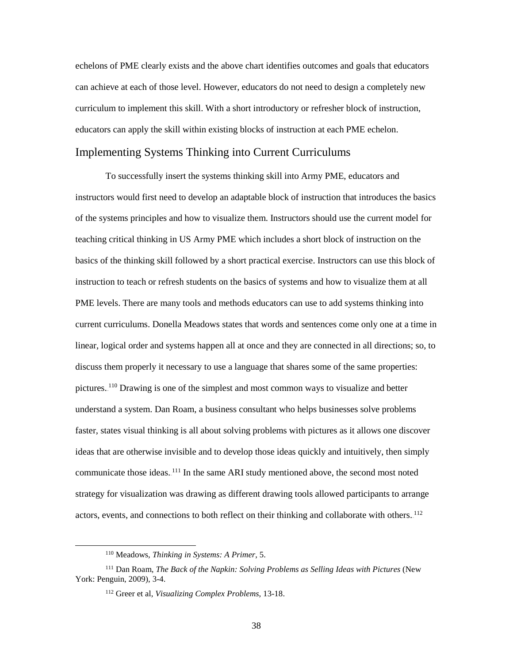echelons of PME clearly exists and the above chart identifies outcomes and goals that educators can achieve at each of those level. However, educators do not need to design a completely new curriculum to implement this skill. With a short introductory or refresher block of instruction, educators can apply the skill within existing blocks of instruction at each PME echelon.

#### <span id="page-45-0"></span>Implementing Systems Thinking into Current Curriculums

To successfully insert the systems thinking skill into Army PME, educators and instructors would first need to develop an adaptable block of instruction that introduces the basics of the systems principles and how to visualize them. Instructors should use the current model for teaching critical thinking in US Army PME which includes a short block of instruction on the basics of the thinking skill followed by a short practical exercise. Instructors can use this block of instruction to teach or refresh students on the basics of systems and how to visualize them at all PME levels. There are many tools and methods educators can use to add systems thinking into current curriculums. Donella Meadows states that words and sentences come only one at a time in linear, logical order and systems happen all at once and they are connected in all directions; so, to discuss them properly it necessary to use a language that shares some of the same properties: pictures.<sup>110</sup> Drawing is one of the simplest and most common ways to visualize and better understand a system. Dan Roam, a business consultant who helps businesses solve problems faster, states visual thinking is all about solving problems with pictures as it allows one discover ideas that are otherwise invisible and to develop those ideas quickly and intuitively, then simply communicate those ideas.<sup>111</sup> In the same ARI study mentioned above, the second most noted strategy for visualization was drawing as different drawing tools allowed participants to arrange actors, events, and connections to both reflect on their thinking and collaborate with others.<sup>112</sup>

 <sup>110</sup> Meadows, *Thinking in Systems: A Primer*, 5.

<sup>111</sup> Dan Roam, *The Back of the Napkin: Solving Problems as Selling Ideas with Pictures* (New York: Penguin, 2009), 3-4.

<sup>112</sup> Greer et al, *Visualizing Complex Problems*, 13-18.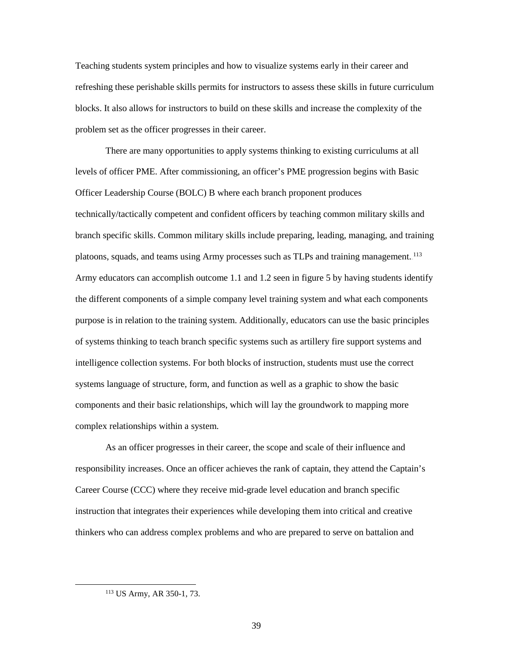Teaching students system principles and how to visualize systems early in their career and refreshing these perishable skills permits for instructors to assess these skills in future curriculum blocks. It also allows for instructors to build on these skills and increase the complexity of the problem set as the officer progresses in their career.

There are many opportunities to apply systems thinking to existing curriculums at all levels of officer PME. After commissioning, an officer's PME progression begins with Basic Officer Leadership Course (BOLC) B where each branch proponent produces technically/tactically competent and confident officers by teaching common military skills and branch specific skills. Common military skills include preparing, leading, managing, and training platoons, squads, and teams using Army processes such as TLPs and training management.<sup>113</sup> Army educators can accomplish outcome 1.1 and 1.2 seen in figure 5 by having students identify the different components of a simple company level training system and what each components purpose is in relation to the training system. Additionally, educators can use the basic principles of systems thinking to teach branch specific systems such as artillery fire support systems and intelligence collection systems. For both blocks of instruction, students must use the correct systems language of structure, form, and function as well as a graphic to show the basic components and their basic relationships, which will lay the groundwork to mapping more complex relationships within a system.

As an officer progresses in their career, the scope and scale of their influence and responsibility increases. Once an officer achieves the rank of captain, they attend the Captain's Career Course (CCC) where they receive mid-grade level education and branch specific instruction that integrates their experiences while developing them into critical and creative thinkers who can address complex problems and who are prepared to serve on battalion and

 <sup>113</sup> US Army, AR 350-1, 73.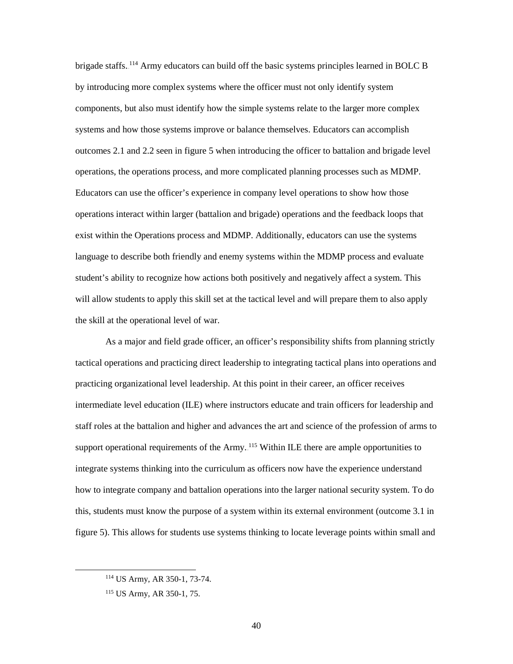brigade staffs.<sup>114</sup> Army educators can build off the basic systems principles learned in BOLC B by introducing more complex systems where the officer must not only identify system components, but also must identify how the simple systems relate to the larger more complex systems and how those systems improve or balance themselves. Educators can accomplish outcomes 2.1 and 2.2 seen in figure 5 when introducing the officer to battalion and brigade level operations, the operations process, and more complicated planning processes such as MDMP. Educators can use the officer's experience in company level operations to show how those operations interact within larger (battalion and brigade) operations and the feedback loops that exist within the Operations process and MDMP. Additionally, educators can use the systems language to describe both friendly and enemy systems within the MDMP process and evaluate student's ability to recognize how actions both positively and negatively affect a system. This will allow students to apply this skill set at the tactical level and will prepare them to also apply the skill at the operational level of war.

As a major and field grade officer, an officer's responsibility shifts from planning strictly tactical operations and practicing direct leadership to integrating tactical plans into operations and practicing organizational level leadership. At this point in their career, an officer receives intermediate level education (ILE) where instructors educate and train officers for leadership and staff roles at the battalion and higher and advances the art and science of the profession of arms to support operational requirements of the Army. <sup>115</sup> Within ILE there are ample opportunities to integrate systems thinking into the curriculum as officers now have the experience understand how to integrate company and battalion operations into the larger national security system. To do this, students must know the purpose of a system within its external environment (outcome 3.1 in figure 5). This allows for students use systems thinking to locate leverage points within small and

 <sup>114</sup> US Army, AR 350-1, 73-74.

<sup>115</sup> US Army, AR 350-1, 75.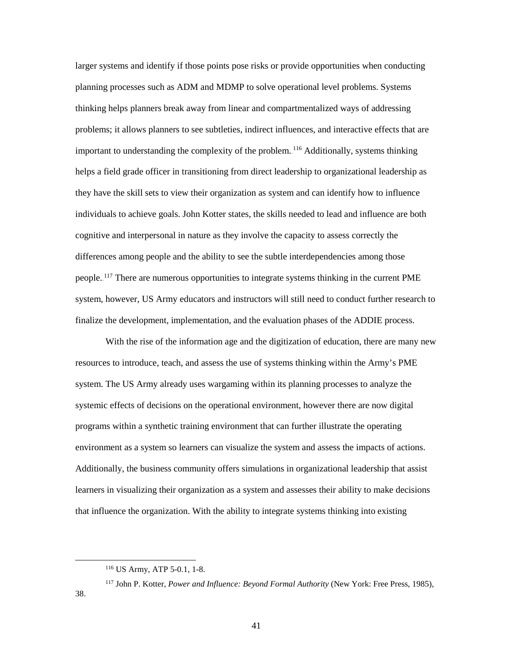larger systems and identify if those points pose risks or provide opportunities when conducting planning processes such as ADM and MDMP to solve operational level problems. Systems thinking helps planners break away from linear and compartmentalized ways of addressing problems; it allows planners to see subtleties, indirect influences, and interactive effects that are important to understanding the complexity of the problem.<sup>116</sup> Additionally, systems thinking helps a field grade officer in transitioning from direct leadership to organizational leadership as they have the skill sets to view their organization as system and can identify how to influence individuals to achieve goals. John Kotter states, the skills needed to lead and influence are both cognitive and interpersonal in nature as they involve the capacity to assess correctly the differences among people and the ability to see the subtle interdependencies among those people.<sup>117</sup> There are numerous opportunities to integrate systems thinking in the current PME system, however, US Army educators and instructors will still need to conduct further research to finalize the development, implementation, and the evaluation phases of the ADDIE process.

With the rise of the information age and the digitization of education, there are many new resources to introduce, teach, and assess the use of systems thinking within the Army's PME system. The US Army already uses wargaming within its planning processes to analyze the systemic effects of decisions on the operational environment, however there are now digital programs within a synthetic training environment that can further illustrate the operating environment as a system so learners can visualize the system and assess the impacts of actions. Additionally, the business community offers simulations in organizational leadership that assist learners in visualizing their organization as a system and assesses their ability to make decisions that influence the organization. With the ability to integrate systems thinking into existing

38.

 <sup>116</sup> US Army, ATP 5-0.1, 1-8.

<sup>117</sup> John P. Kotter, *Power and Influence: Beyond Formal Authority* (New York: Free Press, 1985),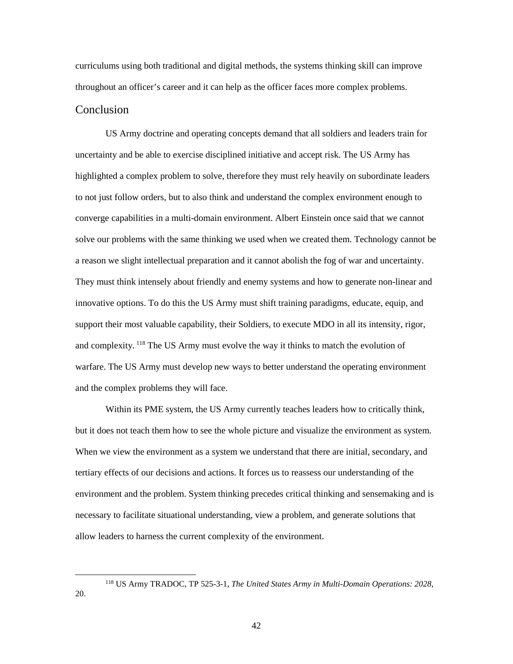curriculums using both traditional and digital methods, the systems thinking skill can improve throughout an officer's career and it can help as the officer faces more complex problems. Conclusion

<span id="page-49-0"></span>US Army doctrine and operating concepts demand that all soldiers and leaders train for uncertainty and be able to exercise disciplined initiative and accept risk. The US Army has highlighted a complex problem to solve, therefore they must rely heavily on subordinate leaders to not just follow orders, but to also think and understand the complex environment enough to converge capabilities in a multi-domain environment. Albert Einstein once said that we cannot solve our problems with the same thinking we used when we created them. Technology cannot be a reason we slight intellectual preparation and it cannot abolish the fog of war and uncertainty. They must think intensely about friendly and enemy systems and how to generate non-linear and innovative options. To do this the US Army must shift training paradigms, educate, equip, and support their most valuable capability, their Soldiers, to execute MDO in all its intensity, rigor, and complexity.<sup>118</sup> The US Army must evolve the way it thinks to match the evolution of warfare. The US Army must develop new ways to better understand the operating environment and the complex problems they will face.

Within its PME system, the US Army currently teaches leaders how to critically think, but it does not teach them how to see the whole picture and visualize the environment as system. When we view the environment as a system we understand that there are initial, secondary, and tertiary effects of our decisions and actions. It forces us to reassess our understanding of the environment and the problem. System thinking precedes critical thinking and sensemaking and is necessary to facilitate situational understanding, view a problem, and generate solutions that allow leaders to harness the current complexity of the environment.

20.

 <sup>118</sup> US Army TRADOC, TP 525-3-1, *The United States Army in Multi-Domain Operations: 2028*,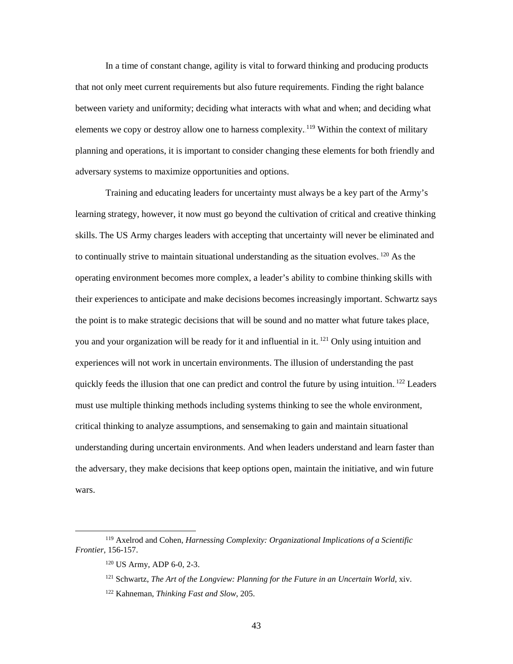In a time of constant change, agility is vital to forward thinking and producing products that not only meet current requirements but also future requirements. Finding the right balance between variety and uniformity; deciding what interacts with what and when; and deciding what elements we copy or destroy allow one to harness complexity. <sup>119</sup> Within the context of military planning and operations, it is important to consider changing these elements for both friendly and adversary systems to maximize opportunities and options.

Training and educating leaders for uncertainty must always be a key part of the Army's learning strategy, however, it now must go beyond the cultivation of critical and creative thinking skills. The US Army charges leaders with accepting that uncertainty will never be eliminated and to continually strive to maintain situational understanding as the situation evolves.  $^{120}$  As the operating environment becomes more complex, a leader's ability to combine thinking skills with their experiences to anticipate and make decisions becomes increasingly important. Schwartz says the point is to make strategic decisions that will be sound and no matter what future takes place, you and your organization will be ready for it and influential in it.<sup>121</sup> Only using intuition and experiences will not work in uncertain environments. The illusion of understanding the past quickly feeds the illusion that one can predict and control the future by using intuition.<sup>122</sup> Leaders must use multiple thinking methods including systems thinking to see the whole environment, critical thinking to analyze assumptions, and sensemaking to gain and maintain situational understanding during uncertain environments. And when leaders understand and learn faster than the adversary, they make decisions that keep options open, maintain the initiative, and win future wars.

 <sup>119</sup> Axelrod and Cohen, *Harnessing Complexity: Organizational Implications of a Scientific Frontier*, 156-157.

<sup>120</sup> US Army, ADP 6-0, 2-3.

<sup>121</sup> Schwartz, *The Art of the Longview: Planning for the Future in an Uncertain World*, xiv.

<sup>122</sup> Kahneman, *Thinking Fast and Slow*, 205.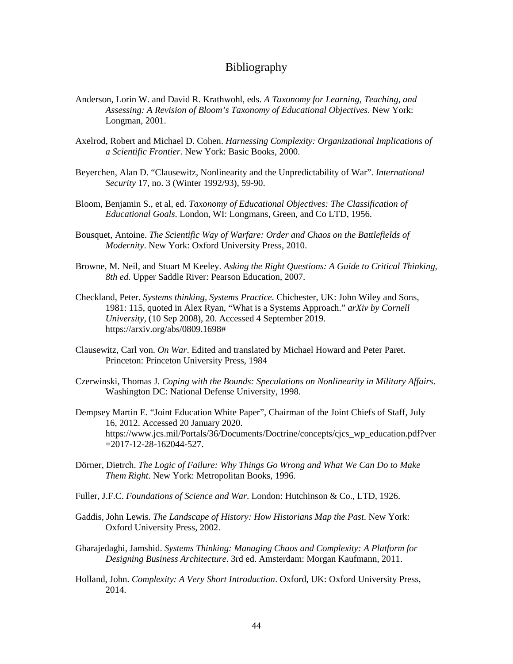#### Bibliography

- <span id="page-51-0"></span>Anderson, Lorin W. and David R. Krathwohl, eds. *A Taxonomy for Learning, Teaching, and Assessing: A Revision of Bloom's Taxonomy of Educational Objectives*. New York: Longman, 2001.
- Axelrod, Robert and Michael D. Cohen. *Harnessing Complexity: Organizational Implications of a Scientific Frontier*. New York: Basic Books, 2000.
- Beyerchen, Alan D. "Clausewitz, Nonlinearity and the Unpredictability of War". *International Security* 17, no. 3 (Winter 1992/93), 59-90.
- Bloom, Benjamin S., et al, ed. *Taxonomy of Educational Objectives: The Classification of Educational Goals*. London, WI: Longmans, Green, and Co LTD, 1956.
- Bousquet, Antoine. *The Scientific Way of Warfare: Order and Chaos on the Battlefields of Modernity*. New York: Oxford University Press, 2010.
- Browne, M. Neil, and Stuart M Keeley. *Asking the Right Questions: A Guide to Critical Thinking, 8th ed.* Upper Saddle River: Pearson Education, 2007.
- Checkland, Peter. *Systems thinking, Systems Practice.* Chichester, UK: John Wiley and Sons, 1981: 115, quoted in Alex Ryan, "What is a Systems Approach." *arXiv by Cornell University*, (10 Sep 2008), 20. Accessed 4 September 2019. [https://arxiv.org/abs/0809.1698#](https://arxiv.org/abs/0809.1698)
- Clausewitz, Carl von. *On War*. Edited and translated by Michael Howard and Peter Paret. Princeton: Princeton University Press, 1984
- Czerwinski, Thomas J. *Coping with the Bounds: Speculations on Nonlinearity in Military Affairs*. Washington DC: National Defense University, 1998.
- Dempsey Martin E. "Joint Education White Paper", Chairman of the Joint Chiefs of Staff, July 16, 2012. Accessed 20 January 2020. https://www.jcs.mil/Portals/36/Documents/Doctrine/concepts/cjcs\_wp\_education.pdf?ver =2017-12-28-162044-527.
- Dörner, Dietrch. *The Logic of Failure: Why Things Go Wrong and What We Can Do to Make Them Right*. New York: Metropolitan Books, 1996.
- Fuller, J.F.C. *Foundations of Science and War*. London: Hutchinson & Co., LTD, 1926.
- Gaddis, John Lewis. *The Landscape of History: How Historians Map the Past*. New York: Oxford University Press, 2002.
- Gharajedaghi, Jamshid. *Systems Thinking: Managing Chaos and Complexity: A Platform for Designing Business Architecture*. 3rd ed. Amsterdam: Morgan Kaufmann, 2011.
- Holland, John. *Complexity: A Very Short Introduction*. Oxford, UK: Oxford University Press, 2014.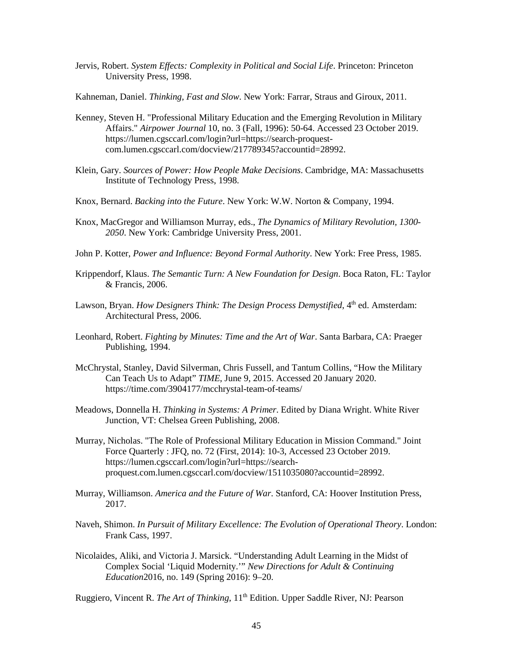- Jervis, Robert. *System Effects: Complexity in Political and Social Life*. Princeton: Princeton University Press, 1998.
- Kahneman, Daniel. *Thinking, Fast and Slow*. New York: Farrar, Straus and Giroux, 2011.
- Kenney, Steven H. "Professional Military Education and the Emerging Revolution in Military Affairs." *Airpower Journal* 10, no. 3 (Fall, 1996): 50-64. Accessed 23 October 2019. [https://lumen.cgsccarl.com/login?url=https://search-proquest](https://lumen.cgsccarl.com/login?url=https://search-proquest-com.lumen.cgsccarl.com/docview/217789345?accountid=28992)[com.lumen.cgsccarl.com/docview/217789345?accountid=28992.](https://lumen.cgsccarl.com/login?url=https://search-proquest-com.lumen.cgsccarl.com/docview/217789345?accountid=28992)
- Klein, Gary. *Sources of Power: How People Make Decisions*. Cambridge, MA: Massachusetts Institute of Technology Press, 1998.
- Knox, Bernard. *Backing into the Future*. New York: W.W. Norton & Company, 1994.
- Knox, MacGregor and Williamson Murray, eds., *The Dynamics of Military Revolution, 1300- 2050*. New York: Cambridge University Press, 2001.
- John P. Kotter, *Power and Influence: Beyond Formal Authority*. New York: Free Press, 1985.
- Krippendorf, Klaus. *The Semantic Turn: A New Foundation for Design*. Boca Raton, FL: Taylor & Francis, 2006.
- Lawson, Bryan. *How Designers Think: The Design Process Demystified*, 4<sup>th</sup> ed. Amsterdam: Architectural Press, 2006.
- Leonhard, Robert. *Fighting by Minutes: Time and the Art of War*. Santa Barbara, CA: Praeger Publishing, 1994.
- McChrystal, Stanley, David Silverman, Chris Fussell, and Tantum Collins, "How the Military Can Teach Us to Adapt" *TIME*, June 9, 2015. Accessed 20 January 2020. https://time.com/3904177/mcchrystal-team-of-teams/
- Meadows, Donnella H. *Thinking in Systems: A Primer*. Edited by Diana Wright. White River Junction, VT: Chelsea Green Publishing, 2008.
- Murray, Nicholas. "The Role of Professional Military Education in Mission Command." Joint Force Quarterly : JFQ, no. 72 (First, 2014): 10-3, Accessed 23 October 2019. [https://lumen.cgsccarl.com/login?url=https://search](https://lumen.cgsccarl.com/login?url=https://search-proquest.com.lumen.cgsccarl.com/docview/1511035080?accountid=28992)[proquest.com.lumen.cgsccarl.com/docview/1511035080?accountid=28992.](https://lumen.cgsccarl.com/login?url=https://search-proquest.com.lumen.cgsccarl.com/docview/1511035080?accountid=28992)
- Murray, Williamson. *America and the Future of War*. Stanford, CA: Hoover Institution Press, 2017.
- Naveh, Shimon. *In Pursuit of Military Excellence: The Evolution of Operational Theory*. London: Frank Cass, 1997.
- Nicolaides, Aliki, and Victoria J. Marsick. "Understanding Adult Learning in the Midst of Complex Social 'Liquid Modernity.'" *New Directions for Adult & Continuing Education*2016, no. 149 (Spring 2016): 9–20.
- Ruggiero, Vincent R. *The Art of Thinking*, 11<sup>th</sup> Edition. Upper Saddle River, NJ: Pearson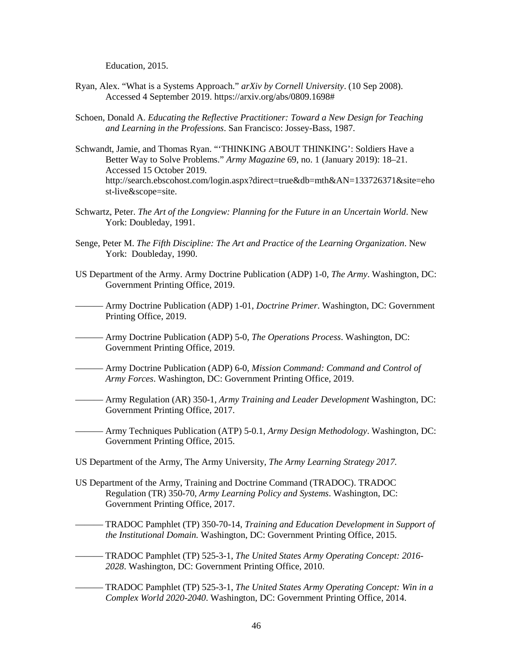Education, 2015.

- Ryan, Alex. "What is a Systems Approach." *arXiv by Cornell University*. (10 Sep 2008). Accessed 4 September 2019. [https://arxiv.org/abs/0809.1698#](https://arxiv.org/abs/0809.1698)
- Schoen, Donald A. *Educating the Reflective Practitioner: Toward a New Design for Teaching and Learning in the Professions*. San Francisco: Jossey-Bass, 1987.
- Schwandt, Jamie, and Thomas Ryan. "'THINKING ABOUT THINKING': Soldiers Have a Better Way to Solve Problems." *Army Magazine* 69, no. 1 (January 2019): 18–21. Accessed 15 October 2019. [http://search.ebscohost.com/login.aspx?direct=true&db=mth&AN=133726371&site=eho](http://search.ebscohost.com/login.aspx?direct=true&db=mth&AN=133726371&site=ehost-live&scope=site) [st-live&scope=site.](http://search.ebscohost.com/login.aspx?direct=true&db=mth&AN=133726371&site=ehost-live&scope=site)
- Schwartz, Peter. *The Art of the Longview: Planning for the Future in an Uncertain World*. New York: Doubleday, 1991.
- Senge, Peter M. *The Fifth Discipline: The Art and Practice of the Learning Organization*. New York: Doubleday, 1990.
- US Department of the Army. Army Doctrine Publication (ADP) 1-0, *The Army*. Washington, DC: Government Printing Office, 2019.
- ——— Army Doctrine Publication (ADP) 1-01, *Doctrine Primer*. Washington, DC: Government Printing Office, 2019.
- ——— Army Doctrine Publication (ADP) 5-0, *The Operations Process*. Washington, DC: Government Printing Office, 2019.
- ——— Army Doctrine Publication (ADP) 6-0, *Mission Command: Command and Control of Army Forces*. Washington, DC: Government Printing Office, 2019.
- ——— Army Regulation (AR) 350-1, *Army Training and Leader Development* Washington, DC: Government Printing Office, 2017.
- ——— Army Techniques Publication (ATP) 5-0.1, *Army Design Methodology*. Washington, DC: Government Printing Office, 2015.
- US Department of the Army, The Army University, *The Army Learning Strategy 2017.*
- US Department of the Army, Training and Doctrine Command (TRADOC). TRADOC Regulation (TR) 350-70, *Army Learning Policy and Systems*. Washington, DC: Government Printing Office, 2017.
	- ——— TRADOC Pamphlet (TP) 350-70-14, *Training and Education Development in Support of the Institutional Domain.* Washington, DC: Government Printing Office, 2015.
- ——— TRADOC Pamphlet (TP) 525-3-1, *The United States Army Operating Concept: 2016- 2028*. Washington, DC: Government Printing Office, 2010.
- ——— TRADOC Pamphlet (TP) 525-3-1, *The United States Army Operating Concept: Win in a Complex World 2020-2040*. Washington, DC: Government Printing Office, 2014.